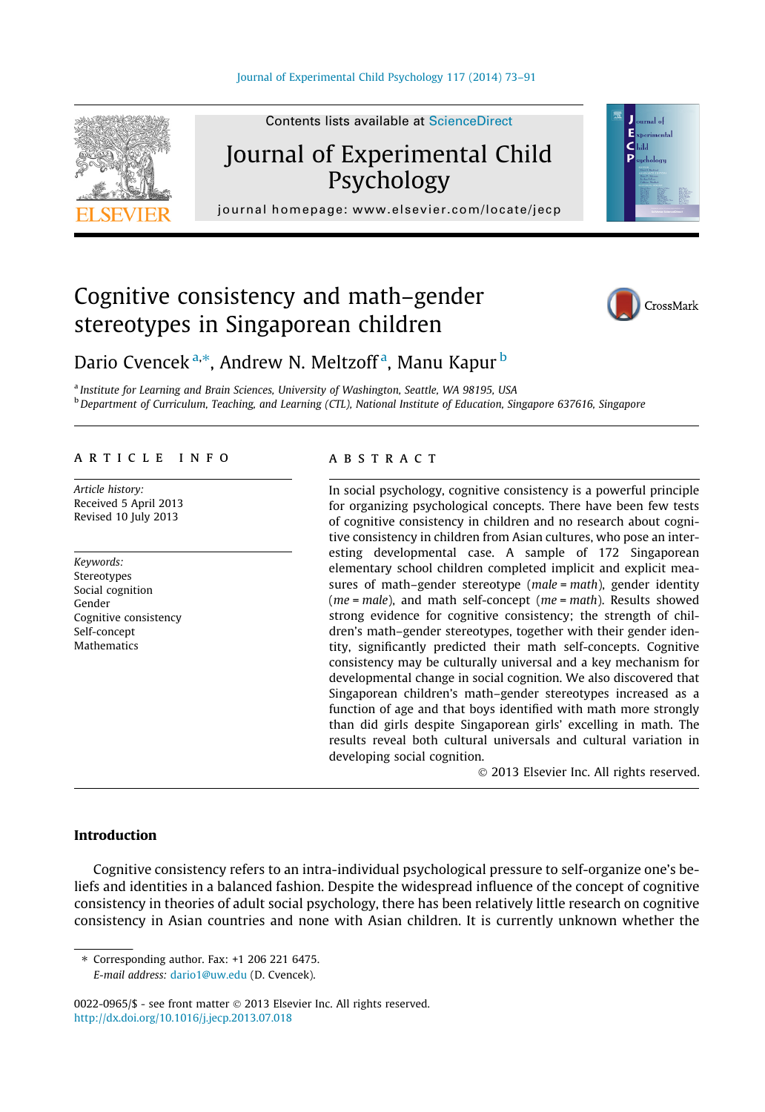

Contents lists available at [ScienceDirect](http://www.sciencedirect.com/science/journal/00220965)

# Journal of Experimental Child Psychology

journal homepage: [www.elsevier.com/locate/jecp](http://www.elsevier.com/locate/jecp)

## Cognitive consistency and math–gender stereotypes in Singaporean children



аú

## Dario Cvencek <sup>a,</sup>\*, Andrew N. Meltzoff <sup>a</sup>, Manu Kapur <sup>b</sup>

a Institute for Learning and Brain Sciences, University of Washington, Seattle, WA 98195, USA  $b$  Department of Curriculum, Teaching, and Learning (CTL), National Institute of Education, Singapore 637616, Singapore

## article info

Article history: Received 5 April 2013 Revised 10 July 2013

Keywords: Stereotypes Social cognition Gender Cognitive consistency Self-concept **Mathematics** 

## **ABSTRACT**

In social psychology, cognitive consistency is a powerful principle for organizing psychological concepts. There have been few tests of cognitive consistency in children and no research about cognitive consistency in children from Asian cultures, who pose an interesting developmental case. A sample of 172 Singaporean elementary school children completed implicit and explicit measures of math–gender stereotype (male = math), gender identity ( $me = male$ ), and math self-concept ( $me = math$ ). Results showed strong evidence for cognitive consistency; the strength of children's math–gender stereotypes, together with their gender identity, significantly predicted their math self-concepts. Cognitive consistency may be culturally universal and a key mechanism for developmental change in social cognition. We also discovered that Singaporean children's math–gender stereotypes increased as a function of age and that boys identified with math more strongly than did girls despite Singaporean girls' excelling in math. The results reveal both cultural universals and cultural variation in developing social cognition.

- 2013 Elsevier Inc. All rights reserved.

## Introduction

Cognitive consistency refers to an intra-individual psychological pressure to self-organize one's beliefs and identities in a balanced fashion. Despite the widespread influence of the concept of cognitive consistency in theories of adult social psychology, there has been relatively little research on cognitive consistency in Asian countries and none with Asian children. It is currently unknown whether the

0022-0965/\$ - see front matter @ 2013 Elsevier Inc. All rights reserved. <http://dx.doi.org/10.1016/j.jecp.2013.07.018>

<sup>⇑</sup> Corresponding author. Fax: +1 206 221 6475.

E-mail address: [dario1@uw.edu](mailto:dario1@uw.edu) (D. Cvencek).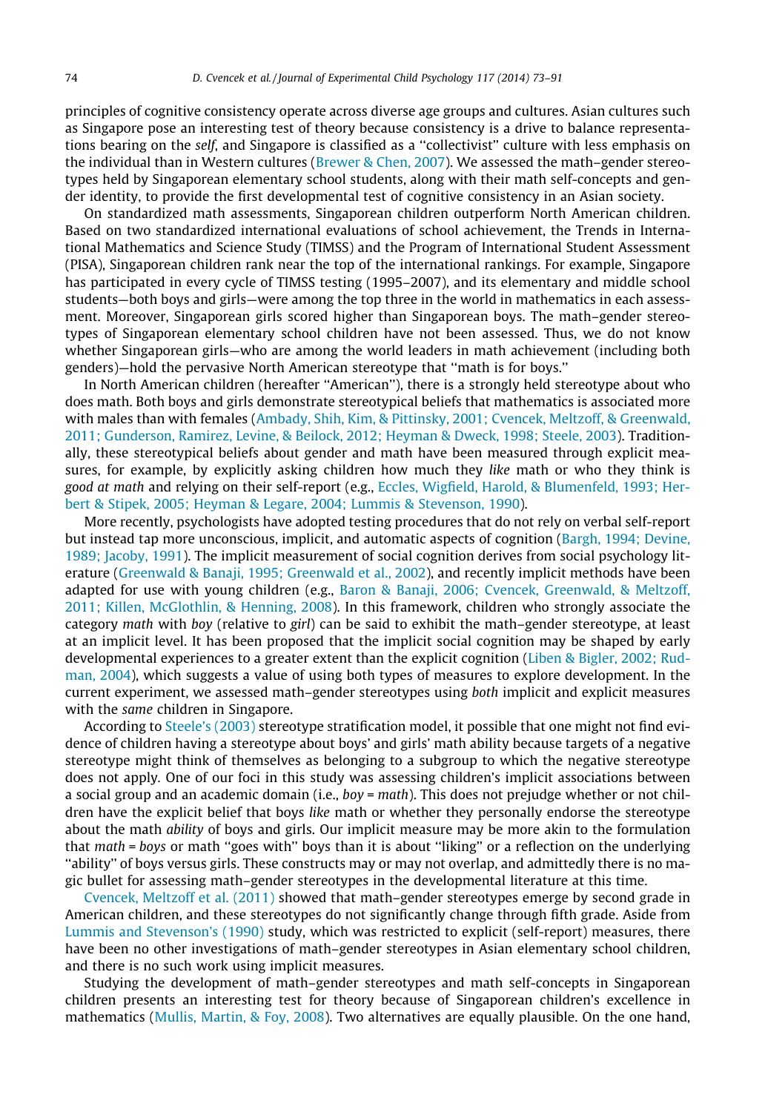principles of cognitive consistency operate across diverse age groups and cultures. Asian cultures such as Singapore pose an interesting test of theory because consistency is a drive to balance representations bearing on the self, and Singapore is classified as a ''collectivist'' culture with less emphasis on the individual than in Western cultures [\(Brewer & Chen, 2007](#page-16-0)). We assessed the math–gender stereotypes held by Singaporean elementary school students, along with their math self-concepts and gender identity, to provide the first developmental test of cognitive consistency in an Asian society.

On standardized math assessments, Singaporean children outperform North American children. Based on two standardized international evaluations of school achievement, the Trends in International Mathematics and Science Study (TIMSS) and the Program of International Student Assessment (PISA), Singaporean children rank near the top of the international rankings. For example, Singapore has participated in every cycle of TIMSS testing (1995–2007), and its elementary and middle school students—both boys and girls—were among the top three in the world in mathematics in each assessment. Moreover, Singaporean girls scored higher than Singaporean boys. The math–gender stereotypes of Singaporean elementary school children have not been assessed. Thus, we do not know whether Singaporean girls—who are among the world leaders in math achievement (including both genders)—hold the pervasive North American stereotype that ''math is for boys.''

In North American children (hereafter ''American''), there is a strongly held stereotype about who does math. Both boys and girls demonstrate stereotypical beliefs that mathematics is associated more with males than with females ([Ambady, Shih, Kim, & Pittinsky, 2001; Cvencek, Meltzoff, & Greenwald,](#page-16-0) [2011; Gunderson, Ramirez, Levine, & Beilock, 2012; Heyman & Dweck, 1998; Steele, 2003](#page-16-0)). Traditionally, these stereotypical beliefs about gender and math have been measured through explicit measures, for example, by explicitly asking children how much they like math or who they think is good at math and relying on their self-report (e.g., [Eccles, Wigfield, Harold, & Blumenfeld, 1993; Her](#page-17-0)[bert & Stipek, 2005; Heyman & Legare, 2004; Lummis & Stevenson, 1990\)](#page-17-0).

More recently, psychologists have adopted testing procedures that do not rely on verbal self-report but instead tap more unconscious, implicit, and automatic aspects of cognition ([Bargh, 1994; Devine,](#page-16-0) [1989; Jacoby, 1991\)](#page-16-0). The implicit measurement of social cognition derives from social psychology literature ([Greenwald & Banaji, 1995; Greenwald et al., 2002\)](#page-17-0), and recently implicit methods have been adapted for use with young children (e.g., [Baron & Banaji, 2006; Cvencek, Greenwald, & Meltzoff,](#page-16-0) [2011; Killen, McGlothlin, & Henning, 2008](#page-16-0)). In this framework, children who strongly associate the category math with boy (relative to girl) can be said to exhibit the math–gender stereotype, at least at an implicit level. It has been proposed that the implicit social cognition may be shaped by early developmental experiences to a greater extent than the explicit cognition [\(Liben & Bigler, 2002; Rud](#page-17-0)[man, 2004](#page-17-0)), which suggests a value of using both types of measures to explore development. In the current experiment, we assessed math–gender stereotypes using both implicit and explicit measures with the same children in Singapore.

According to [Steele's \(2003\)](#page-18-0) stereotype stratification model, it possible that one might not find evidence of children having a stereotype about boys' and girls' math ability because targets of a negative stereotype might think of themselves as belonging to a subgroup to which the negative stereotype does not apply. One of our foci in this study was assessing children's implicit associations between a social group and an academic domain (i.e.,  $boy = math$ ). This does not prejudge whether or not children have the explicit belief that boys like math or whether they personally endorse the stereotype about the math *ability* of boys and girls. Our implicit measure may be more akin to the formulation that math = boys or math "goes with" boys than it is about "liking" or a reflection on the underlying ''ability'' of boys versus girls. These constructs may or may not overlap, and admittedly there is no magic bullet for assessing math–gender stereotypes in the developmental literature at this time.

[Cvencek, Meltzoff et al. \(2011\)](#page-16-0) showed that math–gender stereotypes emerge by second grade in American children, and these stereotypes do not significantly change through fifth grade. Aside from [Lummis and Stevenson's \(1990\)](#page-17-0) study, which was restricted to explicit (self-report) measures, there have been no other investigations of math–gender stereotypes in Asian elementary school children, and there is no such work using implicit measures.

Studying the development of math–gender stereotypes and math self-concepts in Singaporean children presents an interesting test for theory because of Singaporean children's excellence in mathematics ([Mullis, Martin, & Foy, 2008\)](#page-18-0). Two alternatives are equally plausible. On the one hand,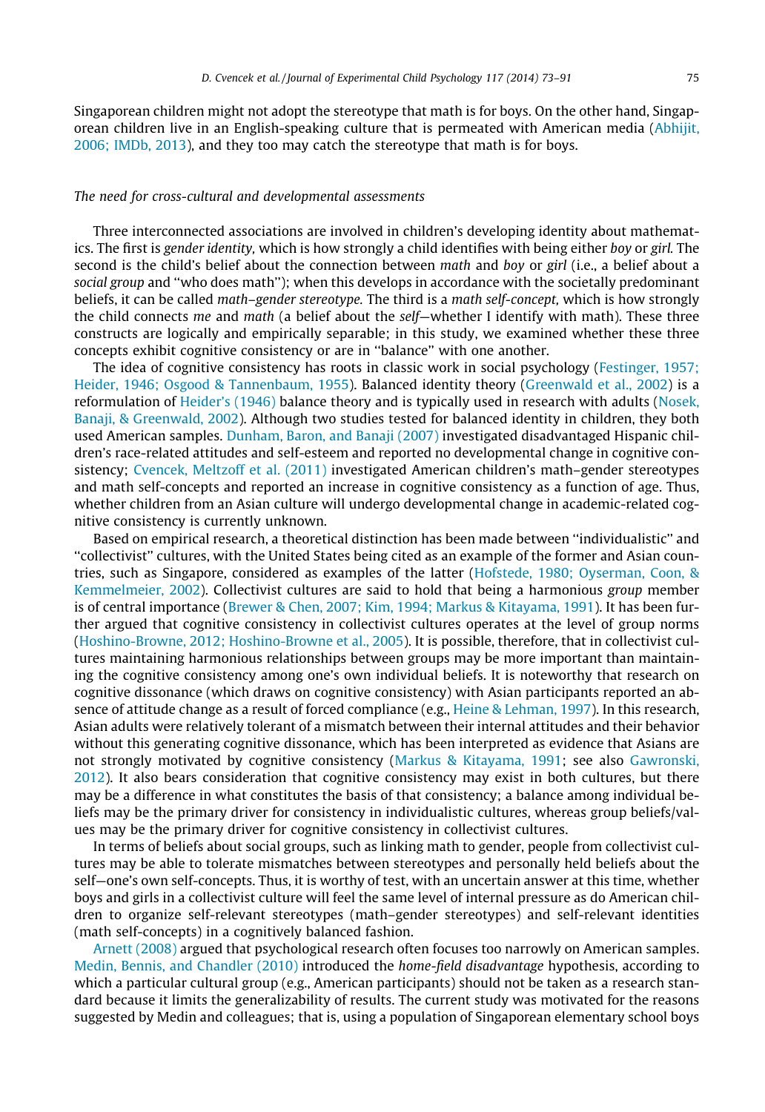Singaporean children might not adopt the stereotype that math is for boys. On the other hand, Singaporean children live in an English-speaking culture that is permeated with American media ([Abhijit,](#page-16-0) [2006; IMDb, 2013](#page-16-0)), and they too may catch the stereotype that math is for boys.

## The need for cross-cultural and developmental assessments

Three interconnected associations are involved in children's developing identity about mathematics. The first is gender identity, which is how strongly a child identifies with being either boy or girl. The second is the child's belief about the connection between math and boy or girl (i.e., a belief about a social group and ''who does math''); when this develops in accordance with the societally predominant beliefs, it can be called math–gender stereotype. The third is a math self-concept, which is how strongly the child connects me and math (a belief about the self-whether I identify with math). These three constructs are logically and empirically separable; in this study, we examined whether these three concepts exhibit cognitive consistency or are in ''balance'' with one another.

The idea of cognitive consistency has roots in classic work in social psychology ([Festinger, 1957;](#page-17-0) [Heider, 1946; Osgood & Tannenbaum, 1955\)](#page-17-0). Balanced identity theory ([Greenwald et al., 2002\)](#page-17-0) is a reformulation of [Heider's \(1946\)](#page-17-0) balance theory and is typically used in research with adults ([Nosek,](#page-18-0) [Banaji, & Greenwald, 2002](#page-18-0)). Although two studies tested for balanced identity in children, they both used American samples. [Dunham, Baron, and Banaji \(2007\)](#page-16-0) investigated disadvantaged Hispanic children's race-related attitudes and self-esteem and reported no developmental change in cognitive consistency; [Cvencek, Meltzoff et al. \(2011\)](#page-16-0) investigated American children's math–gender stereotypes and math self-concepts and reported an increase in cognitive consistency as a function of age. Thus, whether children from an Asian culture will undergo developmental change in academic-related cognitive consistency is currently unknown.

Based on empirical research, a theoretical distinction has been made between ''individualistic'' and ''collectivist'' cultures, with the United States being cited as an example of the former and Asian countries, such as Singapore, considered as examples of the latter [\(Hofstede, 1980; Oyserman, Coon, &](#page-17-0) [Kemmelmeier, 2002\)](#page-17-0). Collectivist cultures are said to hold that being a harmonious group member is of central importance ([Brewer & Chen, 2007; Kim, 1994; Markus & Kitayama, 1991\)](#page-16-0). It has been further argued that cognitive consistency in collectivist cultures operates at the level of group norms [\(Hoshino-Browne, 2012; Hoshino-Browne et al., 2005\)](#page-17-0). It is possible, therefore, that in collectivist cultures maintaining harmonious relationships between groups may be more important than maintaining the cognitive consistency among one's own individual beliefs. It is noteworthy that research on cognitive dissonance (which draws on cognitive consistency) with Asian participants reported an absence of attitude change as a result of forced compliance (e.g., [Heine & Lehman, 1997\)](#page-17-0). In this research, Asian adults were relatively tolerant of a mismatch between their internal attitudes and their behavior without this generating cognitive dissonance, which has been interpreted as evidence that Asians are not strongly motivated by cognitive consistency ([Markus & Kitayama, 1991;](#page-17-0) see also [Gawronski,](#page-17-0) [2012](#page-17-0)). It also bears consideration that cognitive consistency may exist in both cultures, but there may be a difference in what constitutes the basis of that consistency; a balance among individual beliefs may be the primary driver for consistency in individualistic cultures, whereas group beliefs/values may be the primary driver for cognitive consistency in collectivist cultures.

In terms of beliefs about social groups, such as linking math to gender, people from collectivist cultures may be able to tolerate mismatches between stereotypes and personally held beliefs about the self—one's own self-concepts. Thus, it is worthy of test, with an uncertain answer at this time, whether boys and girls in a collectivist culture will feel the same level of internal pressure as do American children to organize self-relevant stereotypes (math–gender stereotypes) and self-relevant identities (math self-concepts) in a cognitively balanced fashion.

[Arnett \(2008\)](#page-16-0) argued that psychological research often focuses too narrowly on American samples. [Medin, Bennis, and Chandler \(2010\)](#page-17-0) introduced the home-field disadvantage hypothesis, according to which a particular cultural group (e.g., American participants) should not be taken as a research standard because it limits the generalizability of results. The current study was motivated for the reasons suggested by Medin and colleagues; that is, using a population of Singaporean elementary school boys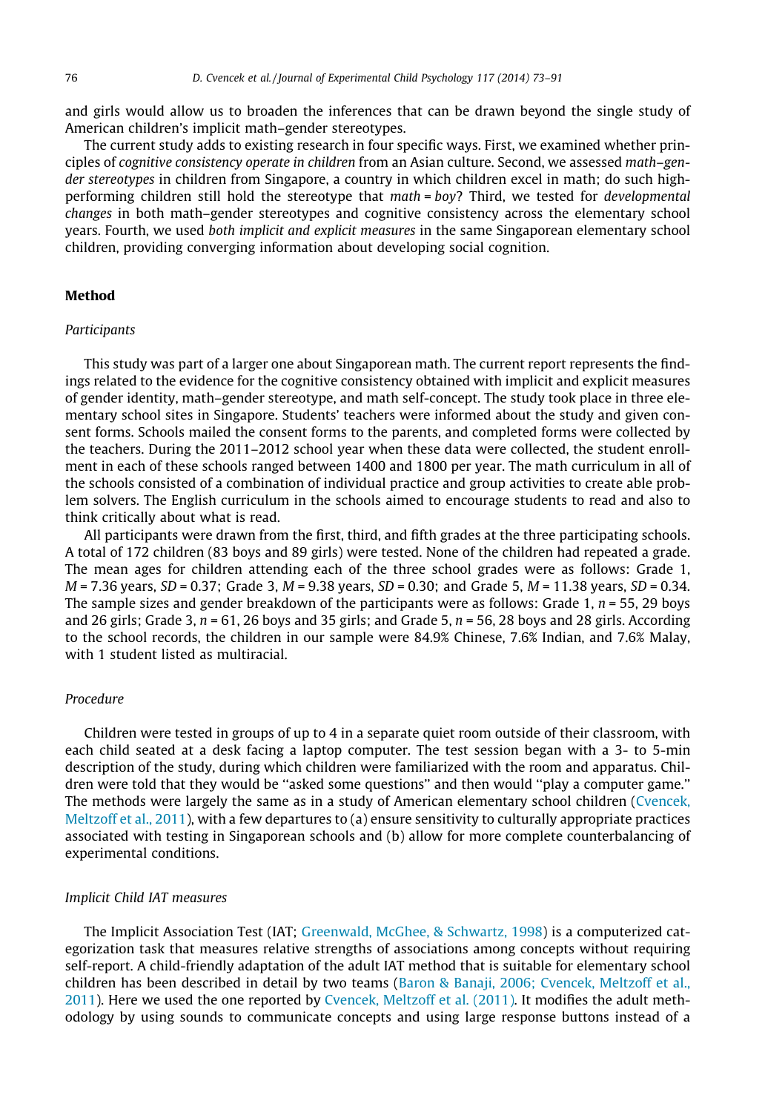and girls would allow us to broaden the inferences that can be drawn beyond the single study of American children's implicit math–gender stereotypes.

The current study adds to existing research in four specific ways. First, we examined whether principles of cognitive consistency operate in children from an Asian culture. Second, we assessed math–gender stereotypes in children from Singapore, a country in which children excel in math; do such highperforming children still hold the stereotype that math = boy? Third, we tested for developmental changes in both math–gender stereotypes and cognitive consistency across the elementary school years. Fourth, we used both implicit and explicit measures in the same Singaporean elementary school children, providing converging information about developing social cognition.

## Method

## **Participants**

This study was part of a larger one about Singaporean math. The current report represents the findings related to the evidence for the cognitive consistency obtained with implicit and explicit measures of gender identity, math–gender stereotype, and math self-concept. The study took place in three elementary school sites in Singapore. Students' teachers were informed about the study and given consent forms. Schools mailed the consent forms to the parents, and completed forms were collected by the teachers. During the 2011–2012 school year when these data were collected, the student enrollment in each of these schools ranged between 1400 and 1800 per year. The math curriculum in all of the schools consisted of a combination of individual practice and group activities to create able problem solvers. The English curriculum in the schools aimed to encourage students to read and also to think critically about what is read.

All participants were drawn from the first, third, and fifth grades at the three participating schools. A total of 172 children (83 boys and 89 girls) were tested. None of the children had repeated a grade. The mean ages for children attending each of the three school grades were as follows: Grade 1,  $M = 7.36$  years,  $SD = 0.37$ ; Grade 3,  $M = 9.38$  years,  $SD = 0.30$ ; and Grade 5,  $M = 11.38$  years,  $SD = 0.34$ . The sample sizes and gender breakdown of the participants were as follows: Grade 1,  $n = 55, 29$  boys and 26 girls; Grade 3,  $n = 61$ , 26 boys and 35 girls; and Grade 5,  $n = 56$ , 28 boys and 28 girls. According to the school records, the children in our sample were 84.9% Chinese, 7.6% Indian, and 7.6% Malay, with 1 student listed as multiracial

## Procedure

Children were tested in groups of up to 4 in a separate quiet room outside of their classroom, with each child seated at a desk facing a laptop computer. The test session began with a 3- to 5-min description of the study, during which children were familiarized with the room and apparatus. Children were told that they would be ''asked some questions'' and then would ''play a computer game.'' The methods were largely the same as in a study of American elementary school children [\(Cvencek,](#page-16-0) [Meltzoff et al., 2011](#page-16-0)), with a few departures to (a) ensure sensitivity to culturally appropriate practices associated with testing in Singaporean schools and (b) allow for more complete counterbalancing of experimental conditions.

## Implicit Child IAT measures

The Implicit Association Test (IAT; [Greenwald, McGhee, & Schwartz, 1998\)](#page-17-0) is a computerized categorization task that measures relative strengths of associations among concepts without requiring self-report. A child-friendly adaptation of the adult IAT method that is suitable for elementary school children has been described in detail by two teams [\(Baron & Banaji, 2006; Cvencek, Meltzoff et al.,](#page-16-0) [2011\)](#page-16-0). Here we used the one reported by [Cvencek, Meltzoff et al. \(2011\).](#page-16-0) It modifies the adult methodology by using sounds to communicate concepts and using large response buttons instead of a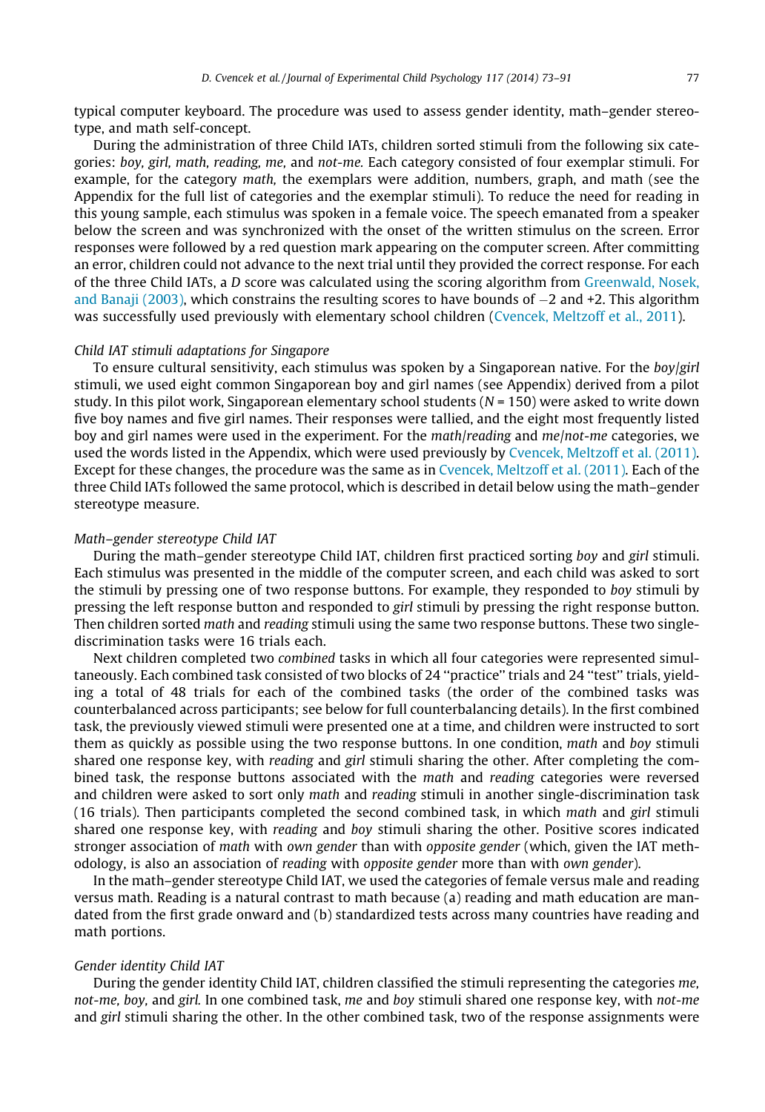typical computer keyboard. The procedure was used to assess gender identity, math–gender stereotype, and math self-concept.

During the administration of three Child IATs, children sorted stimuli from the following six categories: boy, girl, math, reading, me, and not-me. Each category consisted of four exemplar stimuli. For example, for the category *math*, the exemplars were addition, numbers, graph, and math (see the Appendix for the full list of categories and the exemplar stimuli). To reduce the need for reading in this young sample, each stimulus was spoken in a female voice. The speech emanated from a speaker below the screen and was synchronized with the onset of the written stimulus on the screen. Error responses were followed by a red question mark appearing on the computer screen. After committing an error, children could not advance to the next trial until they provided the correct response. For each of the three Child IATs, a D score was calculated using the scoring algorithm from [Greenwald, Nosek,](#page-17-0) [and Banaji \(2003\)](#page-17-0), which constrains the resulting scores to have bounds of  $-2$  and +2. This algorithm was successfully used previously with elementary school children [\(Cvencek, Meltzoff et al., 2011\)](#page-16-0).

## Child IAT stimuli adaptations for Singapore

To ensure cultural sensitivity, each stimulus was spoken by a Singaporean native. For the boy/girl stimuli, we used eight common Singaporean boy and girl names (see Appendix) derived from a pilot study. In this pilot work, Singaporean elementary school students  $(N = 150)$  were asked to write down five boy names and five girl names. Their responses were tallied, and the eight most frequently listed boy and girl names were used in the experiment. For the math/reading and me/not-me categories, we used the words listed in the Appendix, which were used previously by [Cvencek, Meltzoff et al. \(2011\).](#page-16-0) Except for these changes, the procedure was the same as in [Cvencek, Meltzoff et al. \(2011\).](#page-16-0) Each of the three Child IATs followed the same protocol, which is described in detail below using the math–gender stereotype measure.

## Math–gender stereotype Child IAT

During the math–gender stereotype Child IAT, children first practiced sorting boy and girl stimuli. Each stimulus was presented in the middle of the computer screen, and each child was asked to sort the stimuli by pressing one of two response buttons. For example, they responded to boy stimuli by pressing the left response button and responded to girl stimuli by pressing the right response button. Then children sorted math and reading stimuli using the same two response buttons. These two singlediscrimination tasks were 16 trials each.

Next children completed two combined tasks in which all four categories were represented simultaneously. Each combined task consisted of two blocks of 24 ''practice'' trials and 24 ''test'' trials, yielding a total of 48 trials for each of the combined tasks (the order of the combined tasks was counterbalanced across participants; see below for full counterbalancing details). In the first combined task, the previously viewed stimuli were presented one at a time, and children were instructed to sort them as quickly as possible using the two response buttons. In one condition, math and boy stimuli shared one response key, with *reading* and girl stimuli sharing the other. After completing the combined task, the response buttons associated with the math and reading categories were reversed and children were asked to sort only math and reading stimuli in another single-discrimination task (16 trials). Then participants completed the second combined task, in which math and girl stimuli shared one response key, with reading and boy stimuli sharing the other. Positive scores indicated stronger association of math with own gender than with opposite gender (which, given the IAT methodology, is also an association of reading with opposite gender more than with own gender).

In the math–gender stereotype Child IAT, we used the categories of female versus male and reading versus math. Reading is a natural contrast to math because (a) reading and math education are mandated from the first grade onward and (b) standardized tests across many countries have reading and math portions.

## Gender identity Child IAT

During the gender identity Child IAT, children classified the stimuli representing the categories me, not-me, boy, and girl. In one combined task, me and boy stimuli shared one response key, with not-me and girl stimuli sharing the other. In the other combined task, two of the response assignments were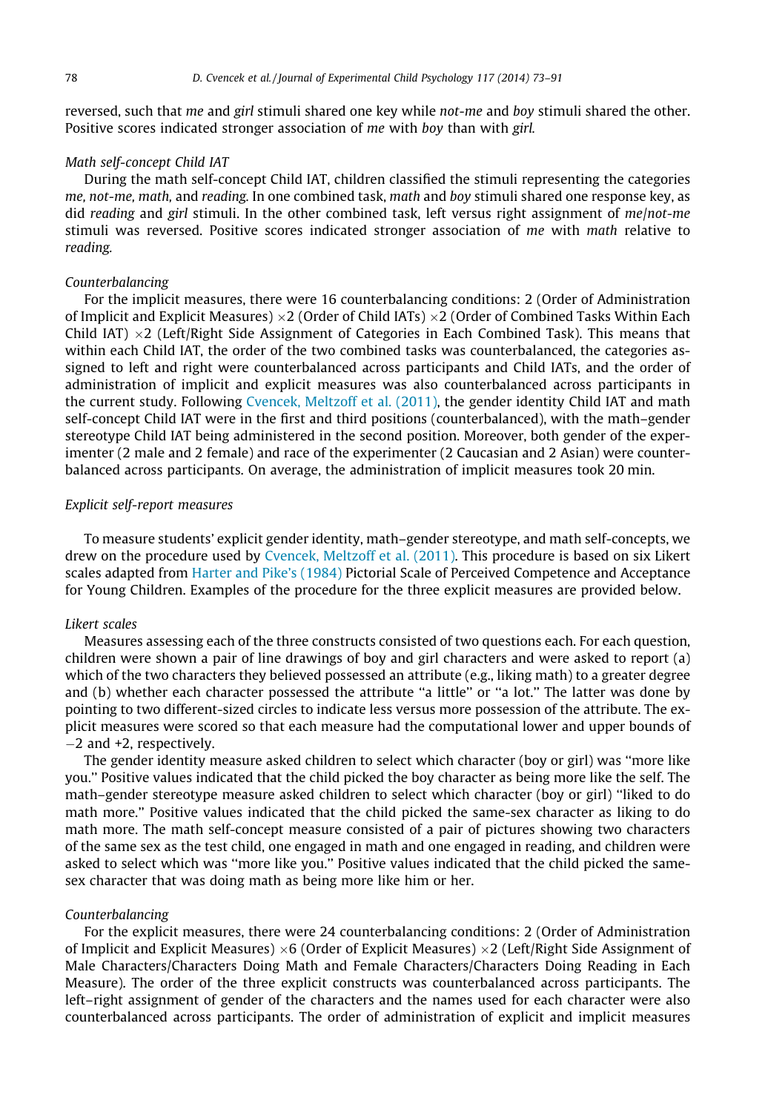reversed, such that me and girl stimuli shared one key while not-me and boy stimuli shared the other. Positive scores indicated stronger association of me with boy than with girl.

## Math self-concept Child IAT

During the math self-concept Child IAT, children classified the stimuli representing the categories me, not-me, math, and reading. In one combined task, math and boy stimuli shared one response key, as did reading and girl stimuli. In the other combined task, left versus right assignment of me/not-me stimuli was reversed. Positive scores indicated stronger association of me with math relative to reading.

## Counterbalancing

For the implicit measures, there were 16 counterbalancing conditions: 2 (Order of Administration of Implicit and Explicit Measures)  $\times$  2 (Order of Child IATs)  $\times$  2 (Order of Combined Tasks Within Each Child IAT)  $\times$  2 (Left/Right Side Assignment of Categories in Each Combined Task). This means that within each Child IAT, the order of the two combined tasks was counterbalanced, the categories assigned to left and right were counterbalanced across participants and Child IATs, and the order of administration of implicit and explicit measures was also counterbalanced across participants in the current study. Following [Cvencek, Meltzoff et al. \(2011\)](#page-16-0), the gender identity Child IAT and math self-concept Child IAT were in the first and third positions (counterbalanced), with the math–gender stereotype Child IAT being administered in the second position. Moreover, both gender of the experimenter (2 male and 2 female) and race of the experimenter (2 Caucasian and 2 Asian) were counterbalanced across participants. On average, the administration of implicit measures took 20 min.

## Explicit self-report measures

To measure students' explicit gender identity, math–gender stereotype, and math self-concepts, we drew on the procedure used by [Cvencek, Meltzoff et al. \(2011\)](#page-16-0). This procedure is based on six Likert scales adapted from [Harter and Pike's \(1984\)](#page-17-0) Pictorial Scale of Perceived Competence and Acceptance for Young Children. Examples of the procedure for the three explicit measures are provided below.

## Likert scales

Measures assessing each of the three constructs consisted of two questions each. For each question, children were shown a pair of line drawings of boy and girl characters and were asked to report (a) which of the two characters they believed possessed an attribute (e.g., liking math) to a greater degree and (b) whether each character possessed the attribute "a little" or "a lot." The latter was done by pointing to two different-sized circles to indicate less versus more possession of the attribute. The explicit measures were scored so that each measure had the computational lower and upper bounds of -2 and +2, respectively.

The gender identity measure asked children to select which character (boy or girl) was ''more like you.'' Positive values indicated that the child picked the boy character as being more like the self. The math–gender stereotype measure asked children to select which character (boy or girl) ''liked to do math more.'' Positive values indicated that the child picked the same-sex character as liking to do math more. The math self-concept measure consisted of a pair of pictures showing two characters of the same sex as the test child, one engaged in math and one engaged in reading, and children were asked to select which was ''more like you.'' Positive values indicated that the child picked the samesex character that was doing math as being more like him or her.

#### Counterbalancing

For the explicit measures, there were 24 counterbalancing conditions: 2 (Order of Administration of Implicit and Explicit Measures)  $\times$  6 (Order of Explicit Measures)  $\times$  2 (Left/Right Side Assignment of Male Characters/Characters Doing Math and Female Characters/Characters Doing Reading in Each Measure). The order of the three explicit constructs was counterbalanced across participants. The left–right assignment of gender of the characters and the names used for each character were also counterbalanced across participants. The order of administration of explicit and implicit measures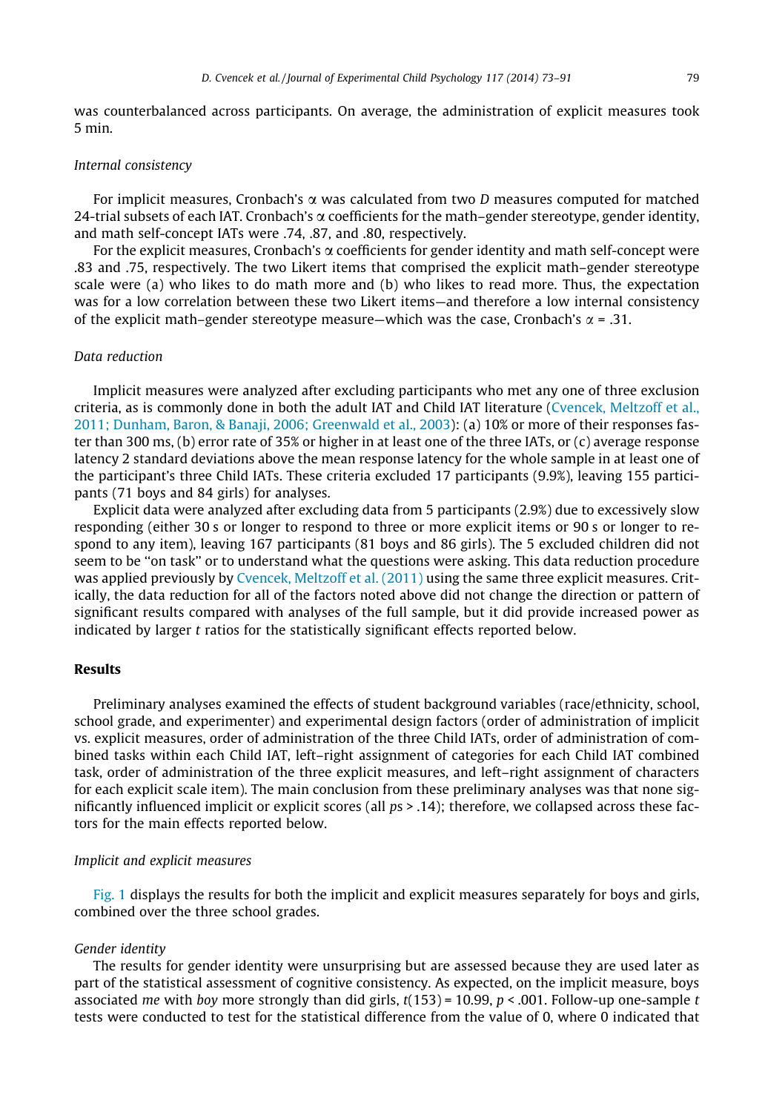was counterbalanced across participants. On average, the administration of explicit measures took 5 min.

## Internal consistency

For implicit measures, Cronbach's  $\alpha$  was calculated from two D measures computed for matched 24-trial subsets of each IAT. Cronbach's  $\alpha$  coefficients for the math–gender stereotype, gender identity, and math self-concept IATs were .74, .87, and .80, respectively.

For the explicit measures, Cronbach's  $\alpha$  coefficients for gender identity and math self-concept were .83 and .75, respectively. The two Likert items that comprised the explicit math–gender stereotype scale were (a) who likes to do math more and (b) who likes to read more. Thus, the expectation was for a low correlation between these two Likert items—and therefore a low internal consistency of the explicit math–gender stereotype measure—which was the case, Cronbach's  $\alpha$  = .31.

## Data reduction

Implicit measures were analyzed after excluding participants who met any one of three exclusion criteria, as is commonly done in both the adult IAT and Child IAT literature ([Cvencek, Meltzoff et al.,](#page-16-0) [2011; Dunham, Baron, & Banaji, 2006; Greenwald et al., 2003\)](#page-16-0): (a) 10% or more of their responses faster than 300 ms, (b) error rate of 35% or higher in at least one of the three IATs, or (c) average response latency 2 standard deviations above the mean response latency for the whole sample in at least one of the participant's three Child IATs. These criteria excluded 17 participants (9.9%), leaving 155 participants (71 boys and 84 girls) for analyses.

Explicit data were analyzed after excluding data from 5 participants (2.9%) due to excessively slow responding (either 30 s or longer to respond to three or more explicit items or 90 s or longer to respond to any item), leaving 167 participants (81 boys and 86 girls). The 5 excluded children did not seem to be ''on task'' or to understand what the questions were asking. This data reduction procedure was applied previously by [Cvencek, Meltzoff et al. \(2011\)](#page-16-0) using the same three explicit measures. Critically, the data reduction for all of the factors noted above did not change the direction or pattern of significant results compared with analyses of the full sample, but it did provide increased power as indicated by larger  $t$  ratios for the statistically significant effects reported below.

## Results

Preliminary analyses examined the effects of student background variables (race/ethnicity, school, school grade, and experimenter) and experimental design factors (order of administration of implicit vs. explicit measures, order of administration of the three Child IATs, order of administration of combined tasks within each Child IAT, left–right assignment of categories for each Child IAT combined task, order of administration of the three explicit measures, and left–right assignment of characters for each explicit scale item). The main conclusion from these preliminary analyses was that none significantly influenced implicit or explicit scores (all  $ps > .14$ ); therefore, we collapsed across these factors for the main effects reported below.

## Implicit and explicit measures

[Fig. 1](#page-7-0) displays the results for both the implicit and explicit measures separately for boys and girls, combined over the three school grades.

## Gender identity

The results for gender identity were unsurprising but are assessed because they are used later as part of the statistical assessment of cognitive consistency. As expected, on the implicit measure, boys associated me with boy more strongly than did girls,  $t(153) = 10.99$ ,  $p < .001$ . Follow-up one-sample t tests were conducted to test for the statistical difference from the value of 0, where 0 indicated that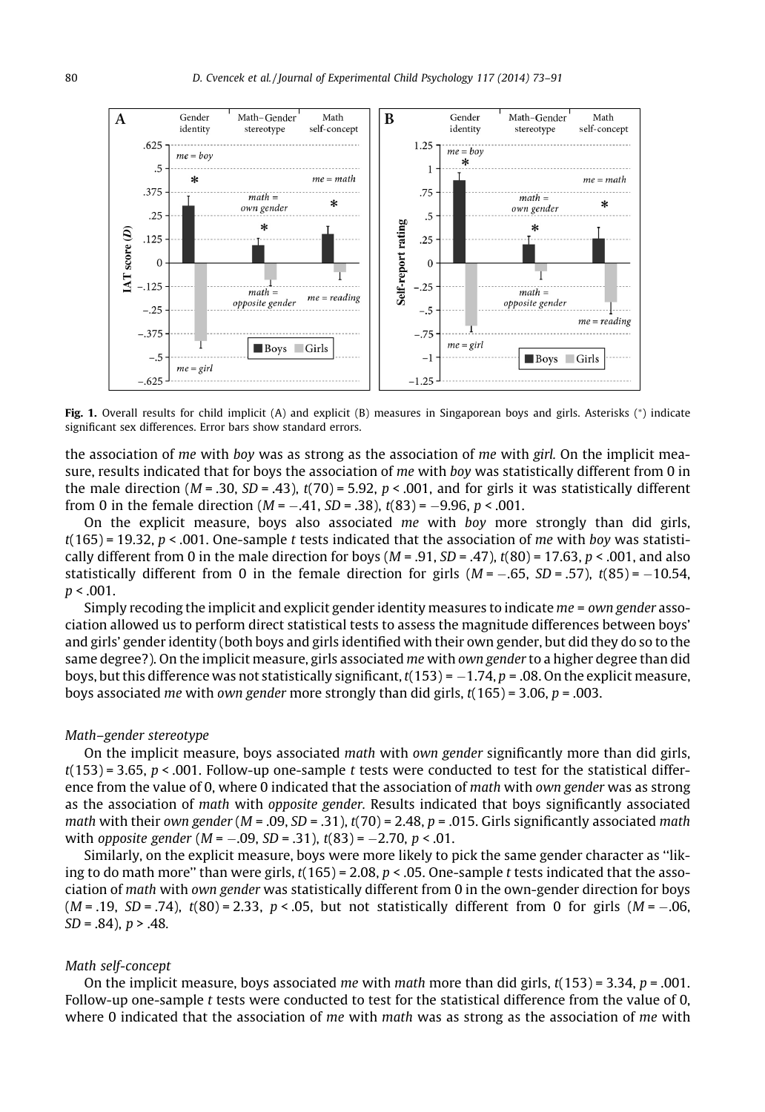<span id="page-7-0"></span>

Fig. 1. Overall results for child implicit (A) and explicit (B) measures in Singaporean boys and girls. Asterisks (\*) indicate significant sex differences. Error bars show standard errors.

the association of me with boy was as strong as the association of me with girl. On the implicit measure, results indicated that for boys the association of me with boy was statistically different from 0 in the male direction ( $M = .30$ ,  $SD = .43$ ),  $t(70) = 5.92$ ,  $p < .001$ , and for girls it was statistically different from 0 in the female direction (M =  $-.41$ , SD = .38), t(83) =  $-9.96$ , p < .001.

On the explicit measure, boys also associated me with boy more strongly than did girls,  $t(165) = 19.32$ ,  $p < .001$ . One-sample t tests indicated that the association of me with boy was statistically different from 0 in the male direction for boys ( $M = .91$ ,  $SD = .47$ ),  $t(80) = 17.63$ ,  $p < .001$ , and also statistically different from 0 in the female direction for girls (*M* =  $-.65$ , *SD* =  $.57$ ), t(85) =  $-10.54$ ,  $p < .001$ .

Simply recoding the implicit and explicit gender identity measures to indicate *me* = own gender association allowed us to perform direct statistical tests to assess the magnitude differences between boys' and girls' gender identity (both boys and girls identified with their own gender, but did they do so to the same degree?). On the implicit measure, girls associated me with own genderto a higher degree than did boys, but this difference was not statistically significant,  $t$ (153) =  $-1.74$ , p = .08. On the explicit measure, boys associated me with own gender more strongly than did girls,  $t(165) = 3.06$ ,  $p = .003$ .

#### Math–gender stereotype

On the implicit measure, boys associated math with own gender significantly more than did girls,  $t(153) = 3.65$ ,  $p < .001$ . Follow-up one-sample t tests were conducted to test for the statistical difference from the value of 0, where 0 indicated that the association of math with own gender was as strong as the association of math with opposite gender. Results indicated that boys significantly associated math with their own gender ( $M = .09$ ,  $SD = .31$ ),  $t(70) = 2.48$ ,  $p = .015$ . Girls significantly associated math with opposite gender (M =  $-.09$ , SD = .31), t(83) =  $-2.70$ , p < .01.

Similarly, on the explicit measure, boys were more likely to pick the same gender character as ''liking to do math more" than were girls,  $t(165) = 2.08$ ,  $p < .05$ . One-sample t tests indicated that the association of math with own gender was statistically different from 0 in the own-gender direction for boys  $(M = .19, SD = .74)$ ,  $t(80) = 2.33$ ,  $p < .05$ , but not statistically different from 0 for girls  $(M = -.06,$  $SD = .84$ ,  $p > .48$ .

## Math self-concept

On the implicit measure, boys associated me with math more than did girls,  $t(153) = 3.34$ ,  $p = .001$ . Follow-up one-sample t tests were conducted to test for the statistical difference from the value of 0, where 0 indicated that the association of me with math was as strong as the association of me with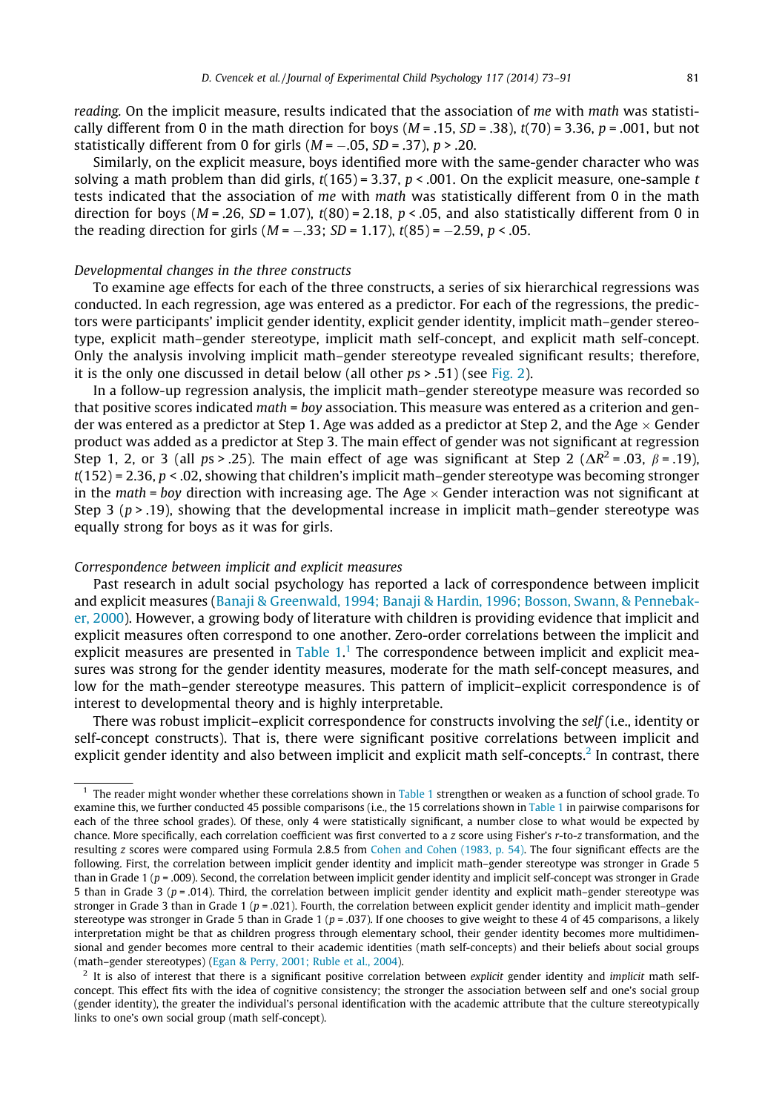reading. On the implicit measure, results indicated that the association of me with math was statistically different from 0 in the math direction for boys ( $M = .15$ ,  $SD = .38$ ),  $t(70) = 3.36$ ,  $p = .001$ , but not statistically different from 0 for girls ( $M = -.05$ , SD = .37),  $p > .20$ .

Similarly, on the explicit measure, boys identified more with the same-gender character who was solving a math problem than did girls,  $t(165) = 3.37$ ,  $p < .001$ . On the explicit measure, one-sample t tests indicated that the association of me with math was statistically different from 0 in the math direction for boys ( $M = .26$ ,  $SD = 1.07$ ),  $t(80) = 2.18$ ,  $p < .05$ , and also statistically different from 0 in the reading direction for girls ( $M = -.33$ ;  $SD = 1.17$ ),  $t(85) = -2.59$ ,  $p < .05$ .

## Developmental changes in the three constructs

To examine age effects for each of the three constructs, a series of six hierarchical regressions was conducted. In each regression, age was entered as a predictor. For each of the regressions, the predictors were participants' implicit gender identity, explicit gender identity, implicit math–gender stereotype, explicit math–gender stereotype, implicit math self-concept, and explicit math self-concept. Only the analysis involving implicit math–gender stereotype revealed significant results; therefore, it is the only one discussed in detail below (all other  $ps > .51$ ) (see [Fig. 2](#page-9-0)).

In a follow-up regression analysis, the implicit math–gender stereotype measure was recorded so that positive scores indicated math = boy association. This measure was entered as a criterion and gender was entered as a predictor at Step 1. Age was added as a predictor at Step 2, and the Age  $\times$  Gender product was added as a predictor at Step 3. The main effect of gender was not significant at regression Step 1, 2, or 3 (all  $ps > .25$ ). The main effect of age was significant at Step 2 ( $\Delta R^2 = .03$ ,  $\beta = .19$ ),  $t(152) = 2.36$ ,  $p < .02$ , showing that children's implicit math–gender stereotype was becoming stronger in the math = boy direction with increasing age. The Age  $\times$  Gender interaction was not significant at Step 3 ( $p > .19$ ), showing that the developmental increase in implicit math–gender stereotype was equally strong for boys as it was for girls.

## Correspondence between implicit and explicit measures

Past research in adult social psychology has reported a lack of correspondence between implicit and explicit measures [\(Banaji & Greenwald, 1994; Banaji & Hardin, 1996; Bosson, Swann, & Pennebak](#page-16-0)[er, 2000\)](#page-16-0). However, a growing body of literature with children is providing evidence that implicit and explicit measures often correspond to one another. Zero-order correlations between the implicit and explicit measures are presented in Table  $1<sup>1</sup>$ . The correspondence between implicit and explicit measures was strong for the gender identity measures, moderate for the math self-concept measures, and low for the math–gender stereotype measures. This pattern of implicit–explicit correspondence is of interest to developmental theory and is highly interpretable.

There was robust implicit–explicit correspondence for constructs involving the self (i.e., identity or self-concept constructs). That is, there were significant positive correlations between implicit and explicit gender identity and also between implicit and explicit math self-concepts.<sup>2</sup> In contrast, there

 $<sup>1</sup>$  The reader might wonder whether these correlations shown in [Table 1](#page-10-0) strengthen or weaken as a function of school grade. To</sup> examine this, we further conducted 45 possible comparisons (i.e., the 15 correlations shown in [Table 1](#page-10-0) in pairwise comparisons for each of the three school grades). Of these, only 4 were statistically significant, a number close to what would be expected by chance. More specifically, each correlation coefficient was first converted to a z score using Fisher's r-to-z transformation, and the resulting z scores were compared using Formula 2.8.5 from [Cohen and Cohen \(1983, p. 54\).](#page-16-0) The four significant effects are the following. First, the correlation between implicit gender identity and implicit math–gender stereotype was stronger in Grade 5 than in Grade 1 ( $p = .009$ ). Second, the correlation between implicit gender identity and implicit self-concept was stronger in Grade 5 than in Grade 3 ( $p = .014$ ). Third, the correlation between implicit gender identity and explicit math–gender stereotype was stronger in Grade 3 than in Grade 1 ( $p = 0.021$ ). Fourth, the correlation between explicit gender identity and implicit math–gender stereotype was stronger in Grade 5 than in Grade 1 ( $p = 0.037$ ). If one chooses to give weight to these 4 of 45 comparisons, a likely interpretation might be that as children progress through elementary school, their gender identity becomes more multidimensional and gender becomes more central to their academic identities (math self-concepts) and their beliefs about social groups (math–gender stereotypes) [\(Egan & Perry, 2001; Ruble et al., 2004](#page-17-0)).

 $2$  It is also of interest that there is a significant positive correlation between explicit gender identity and implicit math selfconcept. This effect fits with the idea of cognitive consistency; the stronger the association between self and one's social group (gender identity), the greater the individual's personal identification with the academic attribute that the culture stereotypically links to one's own social group (math self-concept).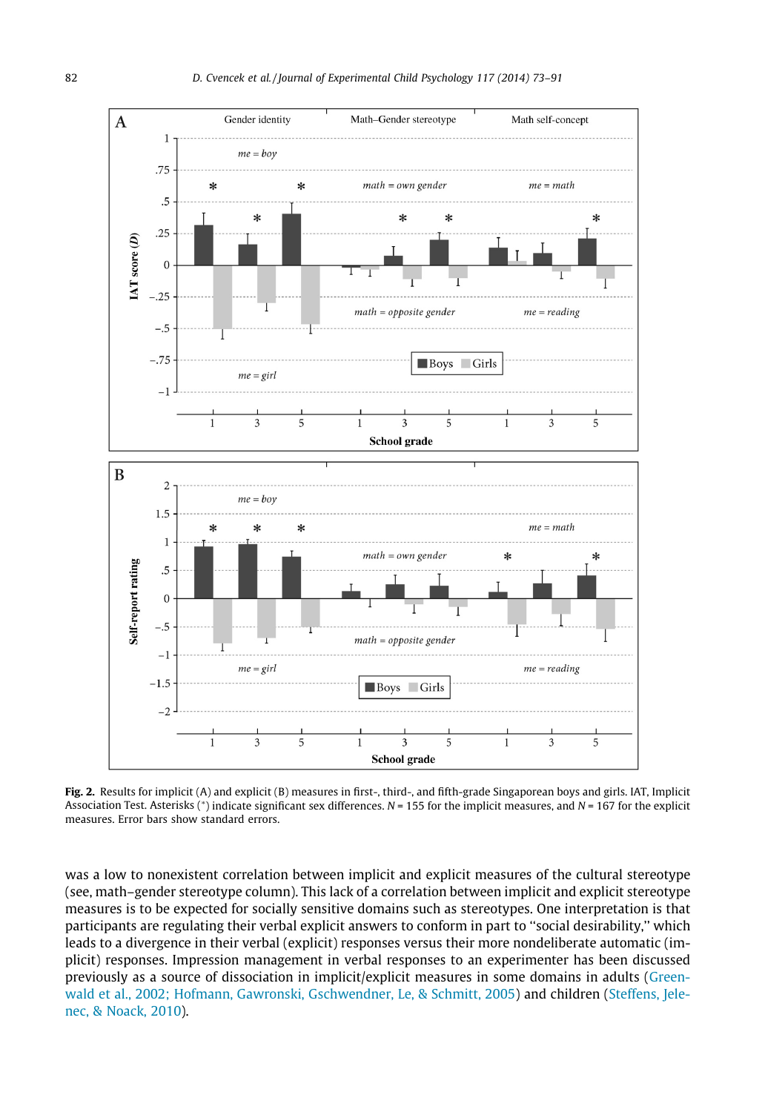<span id="page-9-0"></span>

Fig. 2. Results for implicit (A) and explicit (B) measures in first-, third-, and fifth-grade Singaporean boys and girls. IAT, Implicit Association Test. Asterisks (\*) indicate significant sex differences. N = 155 for the implicit measures, and N = 167 for the explicit measures. Error bars show standard errors.

was a low to nonexistent correlation between implicit and explicit measures of the cultural stereotype (see, math–gender stereotype column). This lack of a correlation between implicit and explicit stereotype measures is to be expected for socially sensitive domains such as stereotypes. One interpretation is that participants are regulating their verbal explicit answers to conform in part to ''social desirability,'' which leads to a divergence in their verbal (explicit) responses versus their more nondeliberate automatic (implicit) responses. Impression management in verbal responses to an experimenter has been discussed previously as a source of dissociation in implicit/explicit measures in some domains in adults [\(Green](#page-17-0)[wald et al., 2002; Hofmann, Gawronski, Gschwendner, Le, & Schmitt, 2005](#page-17-0)) and children ([Steffens, Jele](#page-18-0)[nec, & Noack, 2010\)](#page-18-0).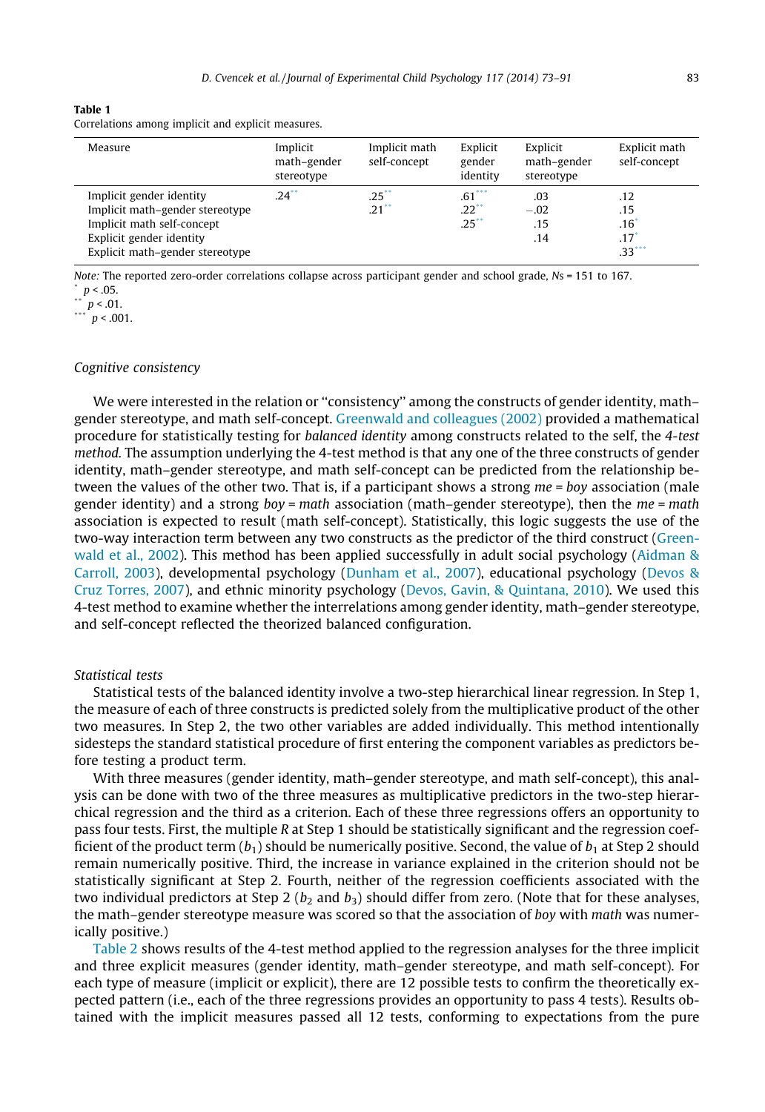#### <span id="page-10-0"></span>Table 1

Correlations among implicit and explicit measures.

| Measure                                                                                                                                                  | Implicit<br>math-gender<br>stereotype | Implicit math<br>self-concept              | Explicit<br>gender<br>identity     | Explicit<br>math-gender<br>stereotype | Explicit math<br>self-concept        |
|----------------------------------------------------------------------------------------------------------------------------------------------------------|---------------------------------------|--------------------------------------------|------------------------------------|---------------------------------------|--------------------------------------|
| Implicit gender identity<br>Implicit math-gender stereotype<br>Implicit math self-concept<br>Explicit gender identity<br>Explicit math-gender stereotype | $.24$ <sup>**</sup>                   | $.25$ <sup>**</sup><br>$.21$ <sup>**</sup> | $.61$ ****<br>$.22$ **<br>$.25***$ | .03<br>$-.02$<br>.15<br>.14           | .12<br>.15<br>.16<br>.17<br>$.33***$ |

Note: The reported zero-order correlations collapse across participant gender and school grade, Ns = 151 to 167.  $p < 0.05$ .

# \*\*  $p < .01$ .

 $p < .001$ .

## Cognitive consistency

We were interested in the relation or "consistency" among the constructs of gender identity, math– gender stereotype, and math self-concept. [Greenwald and colleagues \(2002\)](#page-17-0) provided a mathematical procedure for statistically testing for balanced identity among constructs related to the self, the 4-test method. The assumption underlying the 4-test method is that any one of the three constructs of gender identity, math–gender stereotype, and math self-concept can be predicted from the relationship between the values of the other two. That is, if a participant shows a strong  $me = boy$  association (male gender identity) and a strong boy = math association (math–gender stereotype), then the me = math association is expected to result (math self-concept). Statistically, this logic suggests the use of the two-way interaction term between any two constructs as the predictor of the third construct [\(Green](#page-17-0)[wald et al., 2002\)](#page-17-0). This method has been applied successfully in adult social psychology ([Aidman &](#page-16-0) [Carroll, 2003\)](#page-16-0), developmental psychology ([Dunham et al., 2007](#page-16-0)), educational psychology [\(Devos &](#page-16-0) [Cruz Torres, 2007\)](#page-16-0), and ethnic minority psychology [\(Devos, Gavin, & Quintana, 2010\)](#page-16-0). We used this 4-test method to examine whether the interrelations among gender identity, math–gender stereotype, and self-concept reflected the theorized balanced configuration.

## Statistical tests

Statistical tests of the balanced identity involve a two-step hierarchical linear regression. In Step 1, the measure of each of three constructs is predicted solely from the multiplicative product of the other two measures. In Step 2, the two other variables are added individually. This method intentionally sidesteps the standard statistical procedure of first entering the component variables as predictors before testing a product term.

With three measures (gender identity, math–gender stereotype, and math self-concept), this analysis can be done with two of the three measures as multiplicative predictors in the two-step hierarchical regression and the third as a criterion. Each of these three regressions offers an opportunity to pass four tests. First, the multiple R at Step 1 should be statistically significant and the regression coefficient of the product term  $(b_1)$  should be numerically positive. Second, the value of  $b_1$  at Step 2 should remain numerically positive. Third, the increase in variance explained in the criterion should not be statistically significant at Step 2. Fourth, neither of the regression coefficients associated with the two individual predictors at Step 2 ( $b_2$  and  $b_3$ ) should differ from zero. (Note that for these analyses, the math–gender stereotype measure was scored so that the association of boy with math was numerically positive.)

[Table 2](#page-11-0) shows results of the 4-test method applied to the regression analyses for the three implicit and three explicit measures (gender identity, math–gender stereotype, and math self-concept). For each type of measure (implicit or explicit), there are 12 possible tests to confirm the theoretically expected pattern (i.e., each of the three regressions provides an opportunity to pass 4 tests). Results obtained with the implicit measures passed all 12 tests, conforming to expectations from the pure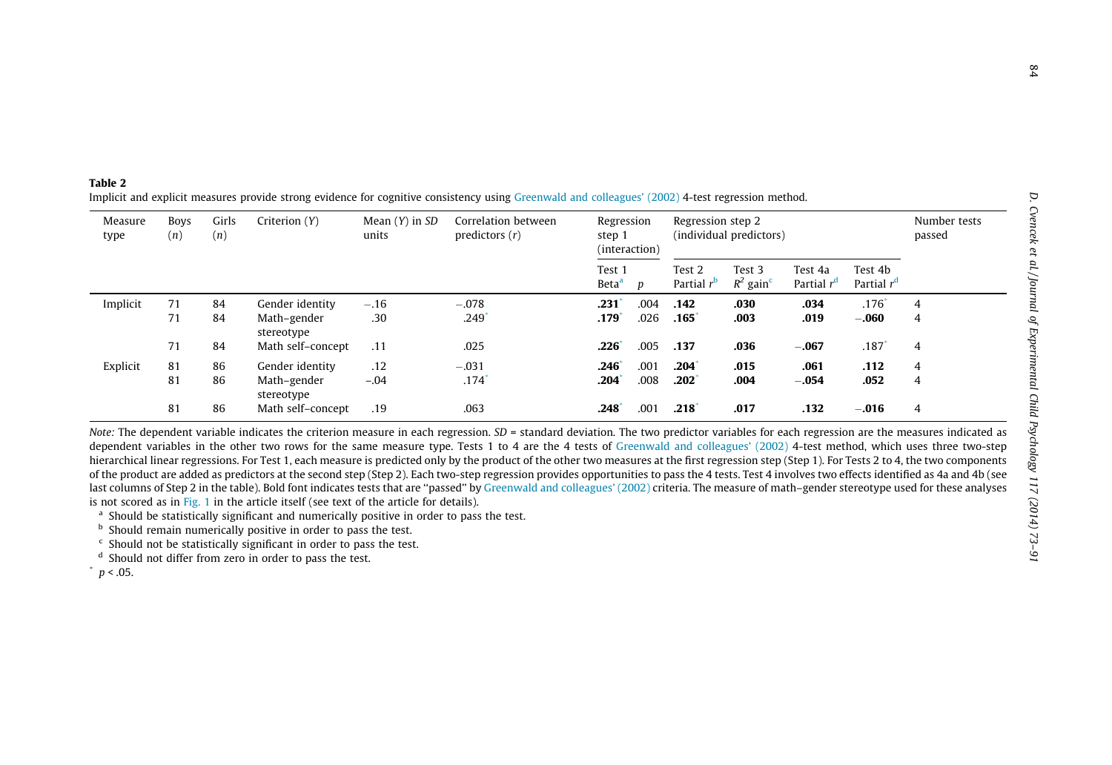| Measure<br>type | <b>Boys</b><br>(n) | Girls<br>(n) | Criterion (Y)             | Mean $(Y)$ in $SD$<br>units | Correlation between<br>predictors $(r)$ | Regression<br>step 1<br>(interaction) |                  | Regression step 2<br>(individual predictors) | Number tests<br>passed            |                         |                         |   |
|-----------------|--------------------|--------------|---------------------------|-----------------------------|-----------------------------------------|---------------------------------------|------------------|----------------------------------------------|-----------------------------------|-------------------------|-------------------------|---|
|                 |                    |              |                           |                             |                                         | Test 1<br>Beta <sup>a</sup>           | $\boldsymbol{p}$ | Test 2<br>Partial $r^b$                      | Test 3<br>$R^2$ gain <sup>c</sup> | Test 4a<br>Partial $rd$ | Test 4b<br>Partial $rd$ |   |
| Implicit        | 71                 | 84           | Gender identity           | $-.16$                      | $-.078$                                 | .231                                  | .004             | .142                                         | .030                              | .034                    | .176                    | 4 |
|                 | 71                 | 84           | Math-gender<br>stereotype | .30                         | $.249$ <sup>*</sup>                     | .179                                  | .026             | .165                                         | .003                              | .019                    | $-.060$                 | 4 |
|                 | 71                 | 84           | Math self-concept         | .11                         | .025                                    | .226                                  | .005             | .137                                         | .036                              | $-.067$                 | .187                    | 4 |
| Explicit        | 81                 | 86           | Gender identity           | .12                         | $-.031$                                 | .246                                  | .001             | .204                                         | .015                              | .061                    | .112                    | 4 |
|                 | 81                 | 86           | Math-gender<br>stereotype | $-.04$                      | .174                                    | .204                                  | .008             | $.202$ <sup>*</sup>                          | .004                              | $-.054$                 | .052                    | 4 |
|                 | 81                 | 86           | Math self-concept         | .19                         | .063                                    | .248                                  | .001             | .218                                         | .017                              | .132                    | $-.016$                 | 4 |
|                 |                    |              |                           |                             |                                         |                                       |                  |                                              |                                   |                         |                         |   |

Implicit and explicit measures provide strong evidence for cognitive consistency using Greenwald and [colleagues'](#page-17-0) (2002) 4-test regression method.

Note: The dependent variable indicates the criterion measure in each regression. SD <sup>=</sup> standard deviation. The two predictor variables for each regression are the measures indicated as dependent variables in the other two rows for the same measure type. Tests 1 to 4 are the 4 tests of Greenwald and [colleagues'](#page-17-0) (2002) 4-test method, which uses three two-step hierarchical linear regressions. For Test 1, each measure is predicted only by the product of the other two measures at the first regression step (Step 1). For Tests 2 to 4, the two components of the product are added as predictors at the second step (Step 2). Each two-step regression provides opportunities to pass the 4 tests. Test 4 involves two effects identified as 4a and 4b (see last columns of Step 2 in the table). Bold font indicates tests that are "passed" by Greenwald and [colleagues'](#page-17-0) (2002) criteria. The measure of math–gender stereotype used for these analyses is not scored as in [Fig.](#page-7-0) 1 in the article itself (see text of the article for details).

<sup>a</sup> Should be statistically significant and numerically positive in order to pass the test.

**b** Should remain numerically positive in order to pass the test.

 $c<sub>c</sub>$  Should not be statistically significant in order to pass the test.

<sup>d</sup> Should not differ from zero in order to pass the test.

\* $p < .05$ .

<span id="page-11-0"></span>Table 2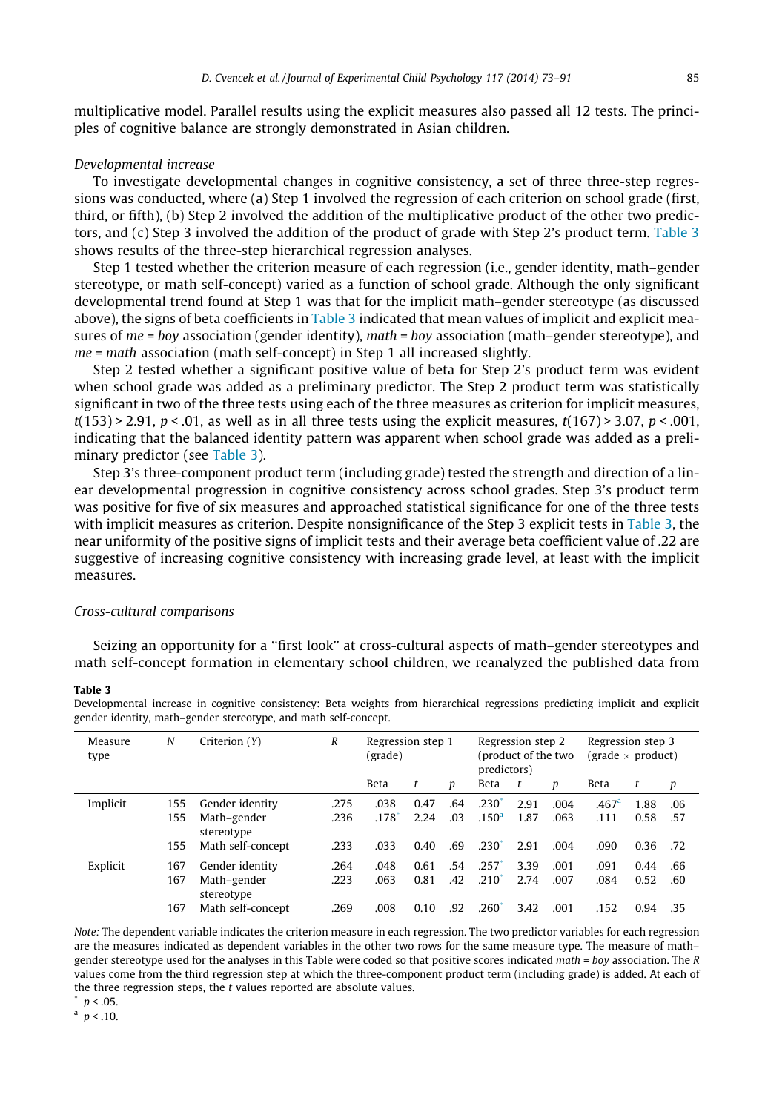multiplicative model. Parallel results using the explicit measures also passed all 12 tests. The principles of cognitive balance are strongly demonstrated in Asian children.

## Developmental increase

To investigate developmental changes in cognitive consistency, a set of three three-step regressions was conducted, where (a) Step 1 involved the regression of each criterion on school grade (first, third, or fifth), (b) Step 2 involved the addition of the multiplicative product of the other two predictors, and (c) Step 3 involved the addition of the product of grade with Step 2's product term. Table 3 shows results of the three-step hierarchical regression analyses.

Step 1 tested whether the criterion measure of each regression (i.e., gender identity, math–gender stereotype, or math self-concept) varied as a function of school grade. Although the only significant developmental trend found at Step 1 was that for the implicit math–gender stereotype (as discussed above), the signs of beta coefficients in Table 3 indicated that mean values of implicit and explicit measures of  $me = boy$  association (gender identity), math = boy association (math–gender stereotype), and me = math association (math self-concept) in Step 1 all increased slightly.

Step 2 tested whether a significant positive value of beta for Step 2's product term was evident when school grade was added as a preliminary predictor. The Step 2 product term was statistically significant in two of the three tests using each of the three measures as criterion for implicit measures,  $t(153) > 2.91$ ,  $p < .01$ , as well as in all three tests using the explicit measures,  $t(167) > 3.07$ ,  $p < .001$ , indicating that the balanced identity pattern was apparent when school grade was added as a preliminary predictor (see Table 3).

Step 3's three-component product term (including grade) tested the strength and direction of a linear developmental progression in cognitive consistency across school grades. Step 3's product term was positive for five of six measures and approached statistical significance for one of the three tests with implicit measures as criterion. Despite nonsignificance of the Step 3 explicit tests in Table 3, the near uniformity of the positive signs of implicit tests and their average beta coefficient value of .22 are suggestive of increasing cognitive consistency with increasing grade level, at least with the implicit measures.

## Cross-cultural comparisons

Seizing an opportunity for a ''first look'' at cross-cultural aspects of math–gender stereotypes and math self-concept formation in elementary school children, we reanalyzed the published data from

## Table 3

| Developmental increase in cognitive consistency: Beta weights from hierarchical regressions predicting implicit and explicit |  |  |  |  |  |  |
|------------------------------------------------------------------------------------------------------------------------------|--|--|--|--|--|--|
| gender identity, math–gender stereotype, and math self-concept.                                                              |  |  |  |  |  |  |

| Measure<br>type | N          | Criterion (Y)                                | R            | Regression step 1<br>(grade) |              | Regression step 2<br>(product of the two<br>predictors) |                                    |              | Regression step 3<br>(grade $\times$ product) |                           |              |            |
|-----------------|------------|----------------------------------------------|--------------|------------------------------|--------------|---------------------------------------------------------|------------------------------------|--------------|-----------------------------------------------|---------------------------|--------------|------------|
|                 |            |                                              |              | Beta                         | t            | p                                                       | Beta                               | t            | p                                             | Beta                      | t            | p          |
| Implicit        | 155<br>155 | Gender identity<br>Math-gender<br>stereotype | .275<br>.236 | .038<br>.178                 | 0.47<br>2.24 | .64<br>.03                                              | .230 <sup>°</sup><br>$150^{\rm a}$ | 2.91<br>1.87 | .004<br>.063                                  | .467 <sup>a</sup><br>.111 | 1.88<br>0.58 | .06<br>.57 |
|                 | 155        | Math self-concept                            | .233         | $-.033$                      | 0.40         | .69                                                     | $.230^{\circ}$                     | 2.91         | .004                                          | .090                      | 0.36         | .72        |
| Explicit        | 167<br>167 | Gender identity<br>Math-gender<br>stereotype | .264<br>.223 | $-.048$<br>.063              | 0.61<br>0.81 | .54<br>.42                                              | $.257$ <sup>*</sup><br>$.210^{*}$  | 3.39<br>2.74 | .001<br>.007                                  | $-.091$<br>.084           | 0.44<br>0.52 | .66<br>.60 |
|                 | 167        | Math self-concept                            | .269         | .008                         | 0.10         | .92                                                     | .260                               | 3.42         | .001                                          | .152                      | 0.94         | -35        |

Note: The dependent variable indicates the criterion measure in each regression. The two predictor variables for each regression are the measures indicated as dependent variables in the other two rows for the same measure type. The measure of math– gender stereotype used for the analyses in this Table were coded so that positive scores indicated math = boy association. The R values come from the third regression step at which the three-component product term (including grade) is added. At each of the three regression steps, the  $t$  values reported are absolute values.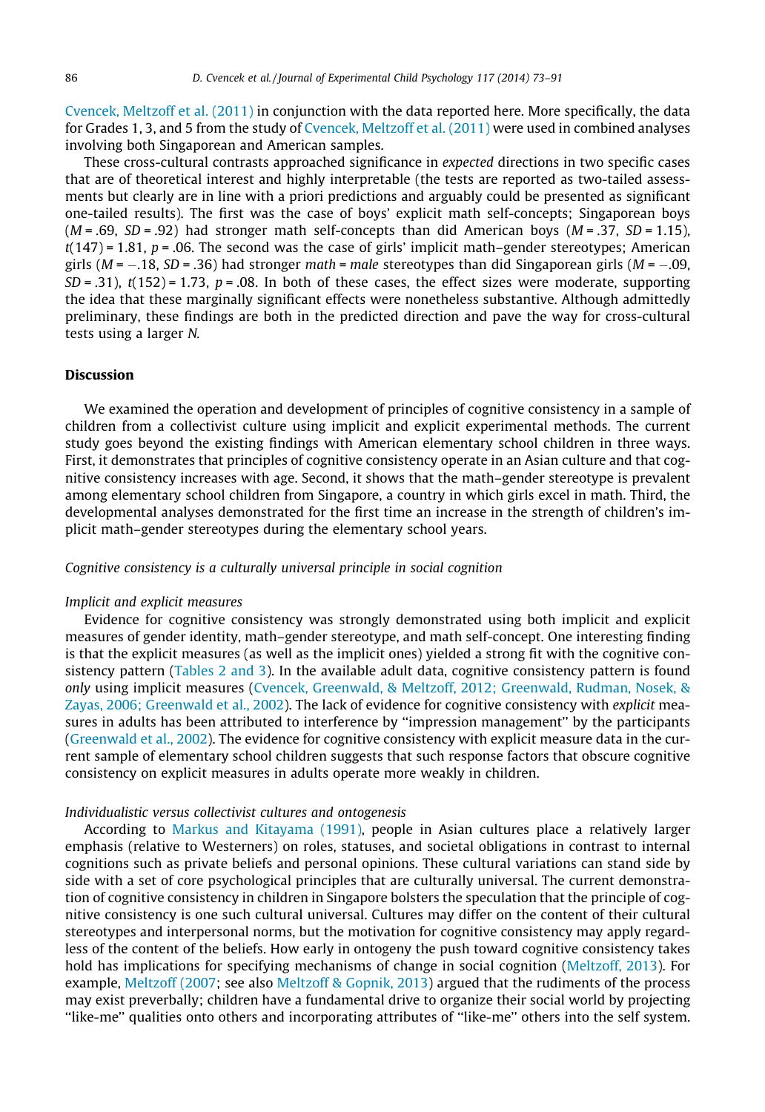[Cvencek, Meltzoff et al. \(2011\)](#page-16-0) in conjunction with the data reported here. More specifically, the data for Grades 1, 3, and 5 from the study of [Cvencek, Meltzoff et al. \(2011\)](#page-16-0) were used in combined analyses involving both Singaporean and American samples.

These cross-cultural contrasts approached significance in expected directions in two specific cases that are of theoretical interest and highly interpretable (the tests are reported as two-tailed assessments but clearly are in line with a priori predictions and arguably could be presented as significant one-tailed results). The first was the case of boys' explicit math self-concepts; Singaporean boys  $(M = .69, SD = .92)$  had stronger math self-concepts than did American boys  $(M = .37, SD = 1.15)$ .  $t(147) = 1.81$ ,  $p = .06$ . The second was the case of girls' implicit math–gender stereotypes: American girls (M =  $-.18$ , SD = .36) had stronger math = male stereotypes than did Singaporean girls (M =  $-.09$ ,  $SD = .31$ ,  $t(152) = 1.73$ ,  $p = .08$ . In both of these cases, the effect sizes were moderate, supporting the idea that these marginally significant effects were nonetheless substantive. Although admittedly preliminary, these findings are both in the predicted direction and pave the way for cross-cultural tests using a larger N.

## Discussion

We examined the operation and development of principles of cognitive consistency in a sample of children from a collectivist culture using implicit and explicit experimental methods. The current study goes beyond the existing findings with American elementary school children in three ways. First, it demonstrates that principles of cognitive consistency operate in an Asian culture and that cognitive consistency increases with age. Second, it shows that the math–gender stereotype is prevalent among elementary school children from Singapore, a country in which girls excel in math. Third, the developmental analyses demonstrated for the first time an increase in the strength of children's implicit math–gender stereotypes during the elementary school years.

Cognitive consistency is a culturally universal principle in social cognition

## Implicit and explicit measures

Evidence for cognitive consistency was strongly demonstrated using both implicit and explicit measures of gender identity, math–gender stereotype, and math self-concept. One interesting finding is that the explicit measures (as well as the implicit ones) yielded a strong fit with the cognitive con-sistency pattern ([Tables 2 and 3](#page-11-0)). In the available adult data, cognitive consistency pattern is found only using implicit measures [\(Cvencek, Greenwald, & Meltzoff, 2012; Greenwald, Rudman, Nosek, &](#page-16-0) [Zayas, 2006; Greenwald et al., 2002\)](#page-16-0). The lack of evidence for cognitive consistency with explicit measures in adults has been attributed to interference by ''impression management'' by the participants ([Greenwald et al., 2002\)](#page-17-0). The evidence for cognitive consistency with explicit measure data in the current sample of elementary school children suggests that such response factors that obscure cognitive consistency on explicit measures in adults operate more weakly in children.

#### Individualistic versus collectivist cultures and ontogenesis

According to [Markus and Kitayama \(1991\)](#page-17-0), people in Asian cultures place a relatively larger emphasis (relative to Westerners) on roles, statuses, and societal obligations in contrast to internal cognitions such as private beliefs and personal opinions. These cultural variations can stand side by side with a set of core psychological principles that are culturally universal. The current demonstration of cognitive consistency in children in Singapore bolsters the speculation that the principle of cognitive consistency is one such cultural universal. Cultures may differ on the content of their cultural stereotypes and interpersonal norms, but the motivation for cognitive consistency may apply regardless of the content of the beliefs. How early in ontogeny the push toward cognitive consistency takes hold has implications for specifying mechanisms of change in social cognition ([Meltzoff, 2013](#page-17-0)). For example, [Meltzoff \(2007](#page-17-0); see also [Meltzoff & Gopnik, 2013](#page-17-0)) argued that the rudiments of the process may exist preverbally; children have a fundamental drive to organize their social world by projecting ''like-me'' qualities onto others and incorporating attributes of ''like-me'' others into the self system.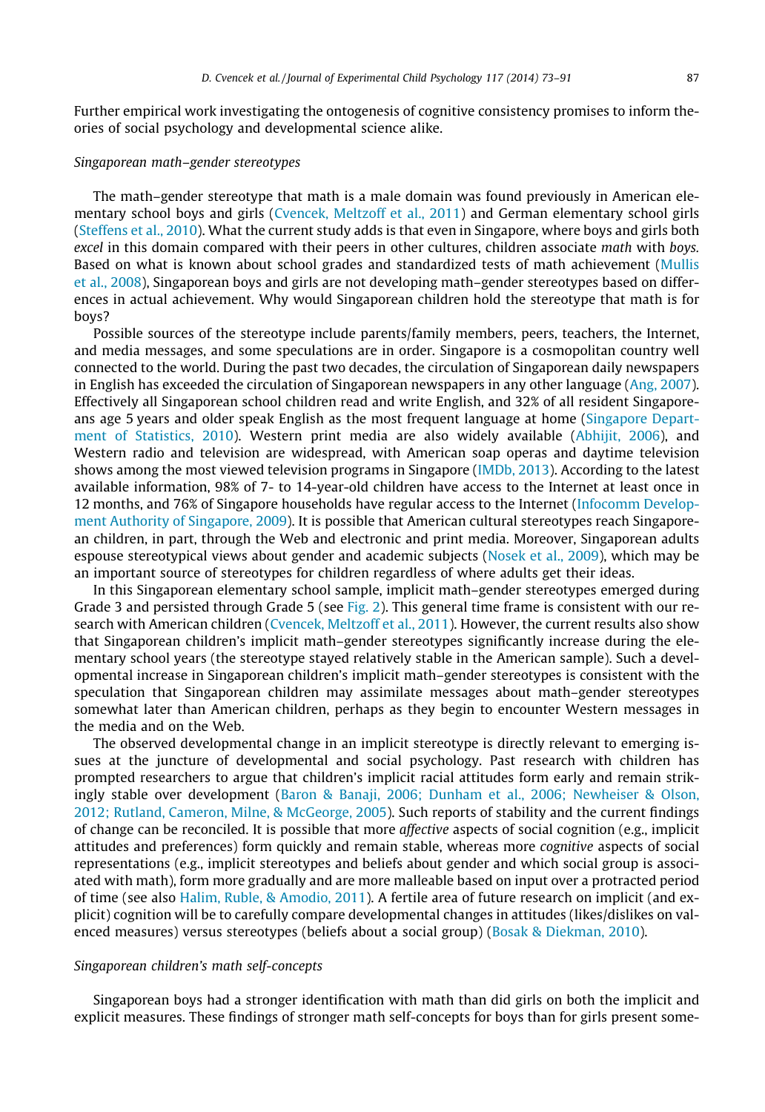Further empirical work investigating the ontogenesis of cognitive consistency promises to inform theories of social psychology and developmental science alike.

## Singaporean math–gender stereotypes

The math–gender stereotype that math is a male domain was found previously in American elementary school boys and girls ([Cvencek, Meltzoff et al., 2011\)](#page-16-0) and German elementary school girls [\(Steffens et al., 2010\)](#page-18-0). What the current study adds is that even in Singapore, where boys and girls both excel in this domain compared with their peers in other cultures, children associate math with boys. Based on what is known about school grades and standardized tests of math achievement [\(Mullis](#page-18-0) [et al., 2008\)](#page-18-0), Singaporean boys and girls are not developing math–gender stereotypes based on differences in actual achievement. Why would Singaporean children hold the stereotype that math is for boys?

Possible sources of the stereotype include parents/family members, peers, teachers, the Internet, and media messages, and some speculations are in order. Singapore is a cosmopolitan country well connected to the world. During the past two decades, the circulation of Singaporean daily newspapers in English has exceeded the circulation of Singaporean newspapers in any other language [\(Ang, 2007\)](#page-16-0). Effectively all Singaporean school children read and write English, and 32% of all resident Singaporeans age 5 years and older speak English as the most frequent language at home ([Singapore Depart](#page-18-0)[ment of Statistics, 2010\)](#page-18-0). Western print media are also widely available [\(Abhijit, 2006\)](#page-16-0), and Western radio and television are widespread, with American soap operas and daytime television shows among the most viewed television programs in Singapore [\(IMDb, 2013](#page-17-0)). According to the latest available information, 98% of 7- to 14-year-old children have access to the Internet at least once in 12 months, and 76% of Singapore households have regular access to the Internet [\(Infocomm Develop](#page-17-0)[ment Authority of Singapore, 2009\)](#page-17-0). It is possible that American cultural stereotypes reach Singaporean children, in part, through the Web and electronic and print media. Moreover, Singaporean adults espouse stereotypical views about gender and academic subjects [\(Nosek et al., 2009](#page-18-0)), which may be an important source of stereotypes for children regardless of where adults get their ideas.

In this Singaporean elementary school sample, implicit math–gender stereotypes emerged during Grade 3 and persisted through Grade 5 (see [Fig. 2\)](#page-9-0). This general time frame is consistent with our research with American children [\(Cvencek, Meltzoff et al., 2011\)](#page-16-0). However, the current results also show that Singaporean children's implicit math–gender stereotypes significantly increase during the elementary school years (the stereotype stayed relatively stable in the American sample). Such a developmental increase in Singaporean children's implicit math–gender stereotypes is consistent with the speculation that Singaporean children may assimilate messages about math–gender stereotypes somewhat later than American children, perhaps as they begin to encounter Western messages in the media and on the Web.

The observed developmental change in an implicit stereotype is directly relevant to emerging issues at the juncture of developmental and social psychology. Past research with children has prompted researchers to argue that children's implicit racial attitudes form early and remain strikingly stable over development ([Baron & Banaji, 2006; Dunham et al., 2006; Newheiser & Olson,](#page-16-0) [2012; Rutland, Cameron, Milne, & McGeorge, 2005\)](#page-16-0). Such reports of stability and the current findings of change can be reconciled. It is possible that more affective aspects of social cognition (e.g., implicit attitudes and preferences) form quickly and remain stable, whereas more cognitive aspects of social representations (e.g., implicit stereotypes and beliefs about gender and which social group is associated with math), form more gradually and are more malleable based on input over a protracted period of time (see also [Halim, Ruble, & Amodio, 2011\)](#page-17-0). A fertile area of future research on implicit (and explicit) cognition will be to carefully compare developmental changes in attitudes (likes/dislikes on valenced measures) versus stereotypes (beliefs about a social group) [\(Bosak & Diekman, 2010](#page-16-0)).

## Singaporean children's math self-concepts

Singaporean boys had a stronger identification with math than did girls on both the implicit and explicit measures. These findings of stronger math self-concepts for boys than for girls present some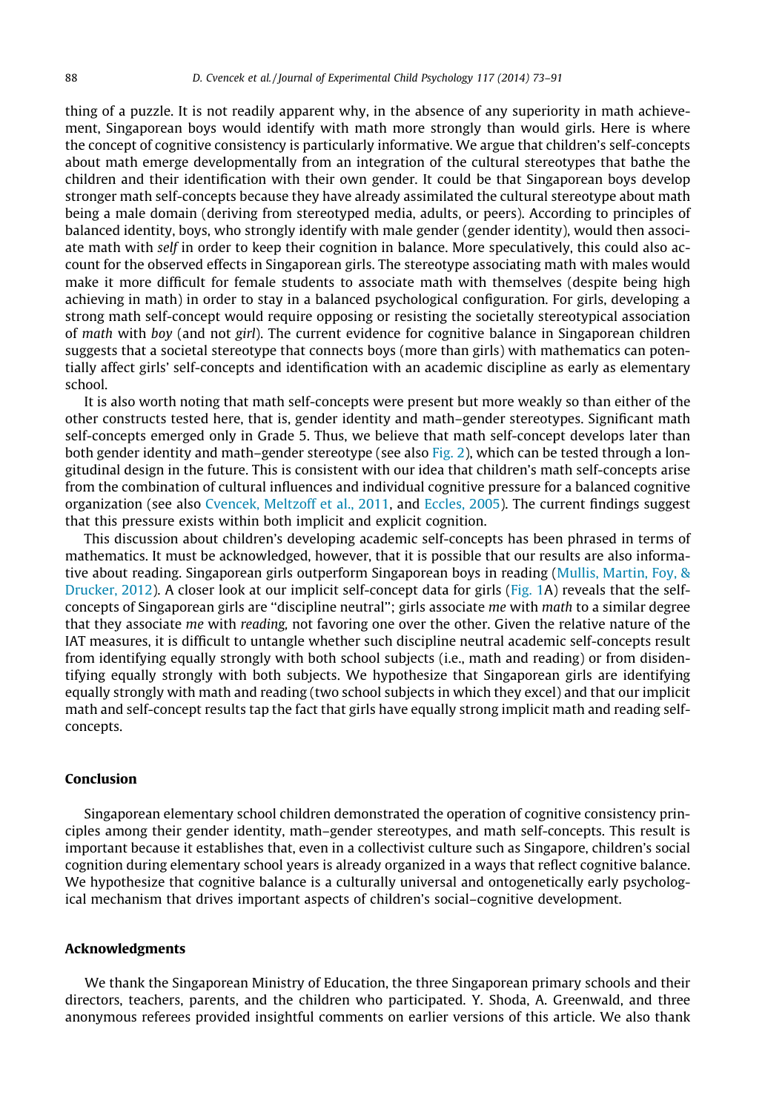thing of a puzzle. It is not readily apparent why, in the absence of any superiority in math achievement, Singaporean boys would identify with math more strongly than would girls. Here is where the concept of cognitive consistency is particularly informative. We argue that children's self-concepts about math emerge developmentally from an integration of the cultural stereotypes that bathe the children and their identification with their own gender. It could be that Singaporean boys develop stronger math self-concepts because they have already assimilated the cultural stereotype about math being a male domain (deriving from stereotyped media, adults, or peers). According to principles of balanced identity, boys, who strongly identify with male gender (gender identity), would then associate math with self in order to keep their cognition in balance. More speculatively, this could also account for the observed effects in Singaporean girls. The stereotype associating math with males would make it more difficult for female students to associate math with themselves (despite being high achieving in math) in order to stay in a balanced psychological configuration. For girls, developing a strong math self-concept would require opposing or resisting the societally stereotypical association of math with boy (and not girl). The current evidence for cognitive balance in Singaporean children suggests that a societal stereotype that connects boys (more than girls) with mathematics can potentially affect girls' self-concepts and identification with an academic discipline as early as elementary school.

It is also worth noting that math self-concepts were present but more weakly so than either of the other constructs tested here, that is, gender identity and math–gender stereotypes. Significant math self-concepts emerged only in Grade 5. Thus, we believe that math self-concept develops later than both gender identity and math–gender stereotype (see also [Fig. 2](#page-9-0)), which can be tested through a longitudinal design in the future. This is consistent with our idea that children's math self-concepts arise from the combination of cultural influences and individual cognitive pressure for a balanced cognitive organization (see also [Cvencek, Meltzoff et al., 2011](#page-16-0), and [Eccles, 2005](#page-17-0)). The current findings suggest that this pressure exists within both implicit and explicit cognition.

This discussion about children's developing academic self-concepts has been phrased in terms of mathematics. It must be acknowledged, however, that it is possible that our results are also informative about reading. Singaporean girls outperform Singaporean boys in reading ([Mullis, Martin, Foy, &](#page-18-0) [Drucker, 2012](#page-18-0)). A closer look at our implicit self-concept data for girls ([Fig. 1](#page-7-0)A) reveals that the selfconcepts of Singaporean girls are ''discipline neutral''; girls associate me with math to a similar degree that they associate me with reading, not favoring one over the other. Given the relative nature of the IAT measures, it is difficult to untangle whether such discipline neutral academic self-concepts result from identifying equally strongly with both school subjects (i.e., math and reading) or from disidentifying equally strongly with both subjects. We hypothesize that Singaporean girls are identifying equally strongly with math and reading (two school subjects in which they excel) and that our implicit math and self-concept results tap the fact that girls have equally strong implicit math and reading selfconcepts.

## Conclusion

Singaporean elementary school children demonstrated the operation of cognitive consistency principles among their gender identity, math–gender stereotypes, and math self-concepts. This result is important because it establishes that, even in a collectivist culture such as Singapore, children's social cognition during elementary school years is already organized in a ways that reflect cognitive balance. We hypothesize that cognitive balance is a culturally universal and ontogenetically early psychological mechanism that drives important aspects of children's social–cognitive development.

## Acknowledgments

We thank the Singaporean Ministry of Education, the three Singaporean primary schools and their directors, teachers, parents, and the children who participated. Y. Shoda, A. Greenwald, and three anonymous referees provided insightful comments on earlier versions of this article. We also thank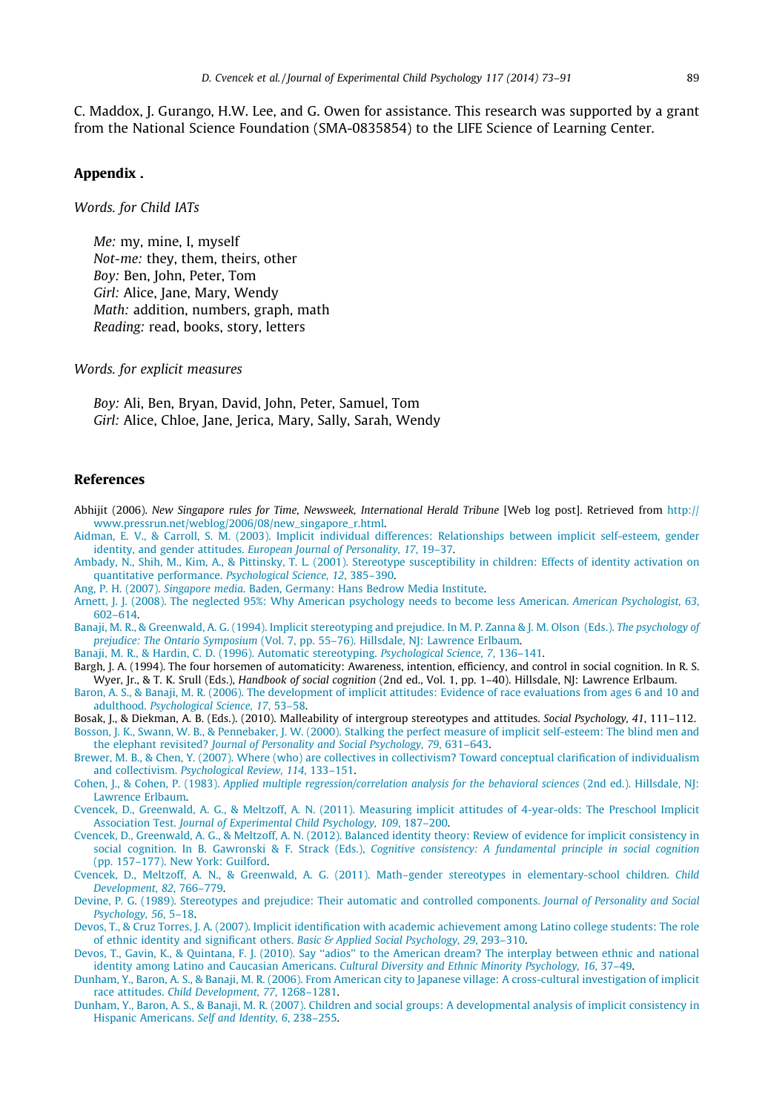<span id="page-16-0"></span>C. Maddox, J. Gurango, H.W. Lee, and G. Owen for assistance. This research was supported by a grant from the National Science Foundation (SMA-0835854) to the LIFE Science of Learning Center.

## Appendix .

Words. for Child IATs

Me: my, mine, I, myself Not-me: they, them, theirs, other Boy: Ben, John, Peter, Tom Girl: Alice, Jane, Mary, Wendy Math: addition, numbers, graph, math Reading: read, books, story, letters

Words. for explicit measures

Boy: Ali, Ben, Bryan, David, John, Peter, Samuel, Tom Girl: Alice, Chloe, Jane, Jerica, Mary, Sally, Sarah, Wendy

## References

- Abhijit (2006). New Singapore rules for Time, Newsweek, International Herald Tribune [Web log post]. Retrieved from [http://](http://www.pressrun.net/weblog/2006/08/new_singapore_r.html) [www.pressrun.net/weblog/2006/08/new\\_singapore\\_r.html](http://www.pressrun.net/weblog/2006/08/new_singapore_r.html).
- [Aidman, E. V., & Carroll, S. M. \(2003\). Implicit individual differences: Relationships between implicit self-esteem, gender](http://refhub.elsevier.com/S0022-0965(13)00176-8/h0005) identity, and gender attitudes. [European Journal of Personality, 17](http://refhub.elsevier.com/S0022-0965(13)00176-8/h0005), 19–37.
- [Ambady, N., Shih, M., Kim, A., & Pittinsky, T. L. \(2001\). Stereotype susceptibility in children: Effects of identity activation on](http://refhub.elsevier.com/S0022-0965(13)00176-8/h0010) [quantitative performance.](http://refhub.elsevier.com/S0022-0965(13)00176-8/h0010) Psychological Science, 12, 385–390.
- Ang, P. H. (2007). Singapore media[. Baden, Germany: Hans Bedrow Media Institute](http://refhub.elsevier.com/S0022-0965(13)00176-8/h0015).
- [Arnett, J. J. \(2008\). The neglected 95%: Why American psychology needs to become less American.](http://refhub.elsevier.com/S0022-0965(13)00176-8/h0020) American Psychologist, 63, [602–614.](http://refhub.elsevier.com/S0022-0965(13)00176-8/h0020)
- [Banaji, M. R., & Greenwald, A. G. \(1994\). Implicit stereotyping and prejudice. In M. P. Zanna & J. M. Olson \(Eds.\).](http://refhub.elsevier.com/S0022-0965(13)00176-8/h0025) The psychology of prejudice: The Ontario Symposium [\(Vol. 7, pp. 55–76\). Hillsdale, NJ: Lawrence Erlbaum.](http://refhub.elsevier.com/S0022-0965(13)00176-8/h0025)

[Banaji, M. R., & Hardin, C. D. \(1996\). Automatic stereotyping.](http://refhub.elsevier.com/S0022-0965(13)00176-8/h0030) Psychological Science, 7, 136–141.

- Bargh, J. A. (1994). The four horsemen of automaticity: Awareness, intention, efficiency, and control in social cognition. In R. S. Wyer, Jr., & T. K. Srull (Eds.), Handbook of social cognition (2nd ed., Vol. 1, pp. 1–40). Hillsdale, NJ: Lawrence Erlbaum.
- [Baron, A. S., & Banaji, M. R. \(2006\). The development of implicit attitudes: Evidence of race evaluations from ages 6 and 10 and](http://refhub.elsevier.com/S0022-0965(13)00176-8/h0035) adulthood. [Psychological Science, 17](http://refhub.elsevier.com/S0022-0965(13)00176-8/h0035), 53–58.
- Bosak, J., & Diekman, A. B. (Eds.). (2010). Malleability of intergroup stereotypes and attitudes. Social Psychology, 41, 111-112. [Bosson, J. K., Swann, W. B., & Pennebaker, J. W. \(2000\). Stalking the perfect measure of implicit self-esteem: The blind men and](http://refhub.elsevier.com/S0022-0965(13)00176-8/h0040) the elephant revisited? [Journal of Personality and Social Psychology, 79](http://refhub.elsevier.com/S0022-0965(13)00176-8/h0040), 631–643.
- [Brewer, M. B., & Chen, Y. \(2007\). Where \(who\) are collectives in collectivism? Toward conceptual clarification of individualism](http://refhub.elsevier.com/S0022-0965(13)00176-8/h0045) and collectivism. [Psychological Review, 114](http://refhub.elsevier.com/S0022-0965(13)00176-8/h0045), 133–151.
- Cohen, J., & Cohen, P. (1983). [Applied multiple regression/correlation analysis for the behavioral sciences](http://refhub.elsevier.com/S0022-0965(13)00176-8/h0050) (2nd ed.). Hillsdale, NJ: [Lawrence Erlbaum.](http://refhub.elsevier.com/S0022-0965(13)00176-8/h0050)
- [Cvencek, D., Greenwald, A. G., & Meltzoff, A. N. \(2011\). Measuring implicit attitudes of 4-year-olds: The Preschool Implicit](http://refhub.elsevier.com/S0022-0965(13)00176-8/h0055) Association Test. [Journal of Experimental Child Psychology, 109](http://refhub.elsevier.com/S0022-0965(13)00176-8/h0055), 187–200.
- [Cvencek, D., Greenwald, A. G., & Meltzoff, A. N. \(2012\). Balanced identity theory: Review of evidence for implicit consistency in](http://refhub.elsevier.com/S0022-0965(13)00176-8/h0060) social cognition. In B. Gawronski & F. Strack (Eds.), [Cognitive consistency: A fundamental principle in social cognition](http://refhub.elsevier.com/S0022-0965(13)00176-8/h0060) [\(pp. 157–177\). New York: Guilford](http://refhub.elsevier.com/S0022-0965(13)00176-8/h0060).
- [Cvencek, D., Meltzoff, A. N., & Greenwald, A. G. \(2011\). Math–gender stereotypes in elementary-school children.](http://refhub.elsevier.com/S0022-0965(13)00176-8/h0065) Child [Development, 82](http://refhub.elsevier.com/S0022-0965(13)00176-8/h0065), 766–779.
- [Devine, P. G. \(1989\). Stereotypes and prejudice: Their automatic and controlled components.](http://refhub.elsevier.com/S0022-0965(13)00176-8/h0070) Journal of Personality and Social [Psychology, 56](http://refhub.elsevier.com/S0022-0965(13)00176-8/h0070), 5–18.
- [Devos, T., & Cruz Torres, J. A. \(2007\). Implicit identification with academic achievement among Latino college students: The role](http://refhub.elsevier.com/S0022-0965(13)00176-8/h0075) [of ethnic identity and significant others.](http://refhub.elsevier.com/S0022-0965(13)00176-8/h0075) Basic & Applied Social Psychology, 29, 293–310.
- [Devos, T., Gavin, K., & Quintana, F. J. \(2010\). Say ''adios'' to the American dream? The interplay between ethnic and national](http://refhub.elsevier.com/S0022-0965(13)00176-8/h0080) identity among Latino and Caucasian Americans. [Cultural Diversity and Ethnic Minority Psychology, 16](http://refhub.elsevier.com/S0022-0965(13)00176-8/h0080), 37–49.
- [Dunham, Y., Baron, A. S., & Banaji, M. R. \(2006\). From American city to Japanese village: A cross-cultural investigation of implicit](http://refhub.elsevier.com/S0022-0965(13)00176-8/h0085) race attitudes. [Child Development, 77](http://refhub.elsevier.com/S0022-0965(13)00176-8/h0085), 1268–1281.
- [Dunham, Y., Baron, A. S., & Banaji, M. R. \(2007\). Children and social groups: A developmental analysis of implicit consistency in](http://refhub.elsevier.com/S0022-0965(13)00176-8/h0090) [Hispanic Americans.](http://refhub.elsevier.com/S0022-0965(13)00176-8/h0090) Self and Identity, 6, 238–255.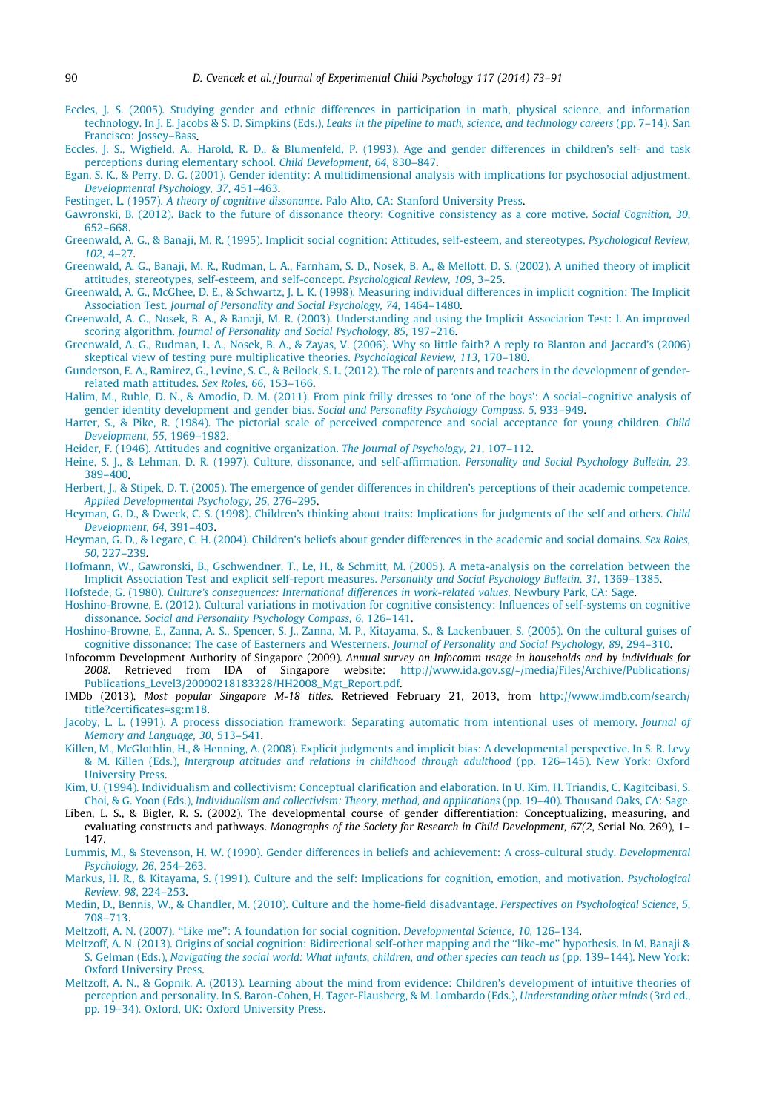- <span id="page-17-0"></span>[Eccles, J. S. \(2005\). Studying gender and ethnic differences in participation in math, physical science, and information](http://refhub.elsevier.com/S0022-0965(13)00176-8/h0095) technology. In J. E. Jacobs & S. D. Simpkins (Eds.), [Leaks in the pipeline to math, science, and technology careers](http://refhub.elsevier.com/S0022-0965(13)00176-8/h0095) (pp. 7–14). San [Francisco: Jossey–Bass](http://refhub.elsevier.com/S0022-0965(13)00176-8/h0095).
- [Eccles, J. S., Wigfield, A., Harold, R. D., & Blumenfeld, P. \(1993\). Age and gender differences in children's self- and task](http://refhub.elsevier.com/S0022-0965(13)00176-8/h0100) [perceptions during elementary school.](http://refhub.elsevier.com/S0022-0965(13)00176-8/h0100) Child Development, 64, 830–847.
- [Egan, S. K., & Perry, D. G. \(2001\). Gender identity: A multidimensional analysis with implications for psychosocial adjustment.](http://refhub.elsevier.com/S0022-0965(13)00176-8/h0105) [Developmental Psychology, 37](http://refhub.elsevier.com/S0022-0965(13)00176-8/h0105), 451–463.
- Festinger, L. (1957). A theory of cognitive dissonance[. Palo Alto, CA: Stanford University Press.](http://refhub.elsevier.com/S0022-0965(13)00176-8/h0110)
- [Gawronski, B. \(2012\). Back to the future of dissonance theory: Cognitive consistency as a core motive.](http://refhub.elsevier.com/S0022-0965(13)00176-8/h0115) Social Cognition, 30, [652–668.](http://refhub.elsevier.com/S0022-0965(13)00176-8/h0115)
- [Greenwald, A. G., & Banaji, M. R. \(1995\). Implicit social cognition: Attitudes, self-esteem, and stereotypes.](http://refhub.elsevier.com/S0022-0965(13)00176-8/h0120) Psychological Review, 102[, 4–27.](http://refhub.elsevier.com/S0022-0965(13)00176-8/h0120)
- [Greenwald, A. G., Banaji, M. R., Rudman, L. A., Farnham, S. D., Nosek, B. A., & Mellott, D. S. \(2002\). A unified theory of implicit](http://refhub.elsevier.com/S0022-0965(13)00176-8/h0125) [attitudes, stereotypes, self-esteem, and self-concept.](http://refhub.elsevier.com/S0022-0965(13)00176-8/h0125) Psychological Review, 109, 3–25.
- [Greenwald, A. G., McGhee, D. E., & Schwartz, J. L. K. \(1998\). Measuring individual differences in implicit cognition: The Implicit](http://refhub.elsevier.com/S0022-0965(13)00176-8/h0130) Association Test. [Journal of Personality and Social Psychology, 74](http://refhub.elsevier.com/S0022-0965(13)00176-8/h0130), 1464–1480.
- [Greenwald, A. G., Nosek, B. A., & Banaji, M. R. \(2003\). Understanding and using the Implicit Association Test: I. An improved](http://refhub.elsevier.com/S0022-0965(13)00176-8/h0135) scoring algorithm. [Journal of Personality and Social Psychology, 85](http://refhub.elsevier.com/S0022-0965(13)00176-8/h0135), 197–216.
- [Greenwald, A. G., Rudman, L. A., Nosek, B. A., & Zayas, V. \(2006\). Why so little faith? A reply to Blanton and Jaccard's \(2006\)](http://refhub.elsevier.com/S0022-0965(13)00176-8/h0140) [skeptical view of testing pure multiplicative theories.](http://refhub.elsevier.com/S0022-0965(13)00176-8/h0140) Psychological Review, 113, 170–180.
- [Gunderson, E. A., Ramirez, G., Levine, S. C., & Beilock, S. L. \(2012\). The role of parents and teachers in the development of gender](http://refhub.elsevier.com/S0022-0965(13)00176-8/h0145)[related math attitudes.](http://refhub.elsevier.com/S0022-0965(13)00176-8/h0145) Sex Roles, 66, 153–166.
- [Halim, M., Ruble, D. N., & Amodio, D. M. \(2011\). From pink frilly dresses to 'one of the boys': A social–cognitive analysis of](http://refhub.elsevier.com/S0022-0965(13)00176-8/h0150) [gender identity development and gender bias.](http://refhub.elsevier.com/S0022-0965(13)00176-8/h0150) Social and Personality Psychology Compass, 5, 933–949.
- [Harter, S., & Pike, R. \(1984\). The pictorial scale of perceived competence and social acceptance for young children.](http://refhub.elsevier.com/S0022-0965(13)00176-8/h0155) Child [Development, 55](http://refhub.elsevier.com/S0022-0965(13)00176-8/h0155), 1969–1982.
- [Heider, F. \(1946\). Attitudes and cognitive organization.](http://refhub.elsevier.com/S0022-0965(13)00176-8/h0160) The Journal of Psychology, 21, 107–112.
- [Heine, S. J., & Lehman, D. R. \(1997\). Culture, dissonance, and self-affirmation.](http://refhub.elsevier.com/S0022-0965(13)00176-8/h0165) Personality and Social Psychology Bulletin, 23, [389–400](http://refhub.elsevier.com/S0022-0965(13)00176-8/h0165).
- [Herbert, J., & Stipek, D. T. \(2005\). The emergence of gender differences in children's perceptions of their academic competence.](http://refhub.elsevier.com/S0022-0965(13)00176-8/h0170) [Applied Developmental Psychology, 26](http://refhub.elsevier.com/S0022-0965(13)00176-8/h0170), 276–295.
- [Heyman, G. D., & Dweck, C. S. \(1998\). Children's thinking about traits: Implications for judgments of the self and others.](http://refhub.elsevier.com/S0022-0965(13)00176-8/h0175) Child [Development, 64](http://refhub.elsevier.com/S0022-0965(13)00176-8/h0175), 391–403.
- [Heyman, G. D., & Legare, C. H. \(2004\). Children's beliefs about gender differences in the academic and social domains.](http://refhub.elsevier.com/S0022-0965(13)00176-8/h0180) Sex Roles, 50[, 227–239](http://refhub.elsevier.com/S0022-0965(13)00176-8/h0180).
- [Hofmann, W., Gawronski, B., Gschwendner, T., Le, H., & Schmitt, M. \(2005\). A meta-analysis on the correlation between the](http://refhub.elsevier.com/S0022-0965(13)00176-8/h0185) [Implicit Association Test and explicit self-report measures.](http://refhub.elsevier.com/S0022-0965(13)00176-8/h0185) Personality and Social Psychology Bulletin, 31, 1369–1385.
- Hofstede, G. (1980). [Culture's consequences: International differences in work-related values](http://refhub.elsevier.com/S0022-0965(13)00176-8/h0190). Newbury Park, CA: Sage.
- [Hoshino-Browne, E. \(2012\). Cultural variations in motivation for cognitive consistency: Influences of self-systems on cognitive](http://refhub.elsevier.com/S0022-0965(13)00176-8/h0195) dissonance. [Social and Personality Psychology Compass, 6](http://refhub.elsevier.com/S0022-0965(13)00176-8/h0195), 126–141.
- [Hoshino-Browne, E., Zanna, A. S., Spencer, S. J., Zanna, M. P., Kitayama, S., & Lackenbauer, S. \(2005\). On the cultural guises of](http://refhub.elsevier.com/S0022-0965(13)00176-8/h0200) [cognitive dissonance: The case of Easterners and Westerners.](http://refhub.elsevier.com/S0022-0965(13)00176-8/h0200) Journal of Personality and Social Psychology, 89, 294–310.
- Infocomm Development Authority of Singapore (2009). Annual survey on Infocomm usage in households and by individuals for 2008. Retrieved from IDA of Singapore website: [http://www.ida.gov.sg/~/media/Files/Archive/Publications/](http://www.ida.gov.sg/~/media/Files/Archive/Publications/Publications_Level3/20090218183328/HH2008_Mgt_Report.pdf) [Publications\\_Level3/20090218183328/HH2008\\_Mgt\\_Report.pdf.](http://www.ida.gov.sg/~/media/Files/Archive/Publications/Publications_Level3/20090218183328/HH2008_Mgt_Report.pdf)
- IMDb (2013). Most popular Singapore M-18 titles. Retrieved February 21, 2013, from [http://www.imdb.com/search/](http://www.imdb.com/search/title?certificates=sg:m18) [title?certificates=sg:m18.](http://www.imdb.com/search/title?certificates=sg:m18)
- [Jacoby, L. L. \(1991\). A process dissociation framework: Separating automatic from intentional uses of memory.](http://refhub.elsevier.com/S0022-0965(13)00176-8/h0205) Journal of [Memory and Language, 30](http://refhub.elsevier.com/S0022-0965(13)00176-8/h0205), 513–541.
- [Killen, M., McGlothlin, H., & Henning, A. \(2008\). Explicit judgments and implicit bias: A developmental perspective. In S. R. Levy](http://refhub.elsevier.com/S0022-0965(13)00176-8/h0210) & M. Killen (Eds.), [Intergroup attitudes and relations in childhood through adulthood](http://refhub.elsevier.com/S0022-0965(13)00176-8/h0210) (pp. 126–145). New York: Oxford [University Press.](http://refhub.elsevier.com/S0022-0965(13)00176-8/h0210)
- [Kim, U. \(1994\). Individualism and collectivism: Conceptual clarification and elaboration. In U. Kim, H. Triandis, C. Kagitcibasi, S.](http://refhub.elsevier.com/S0022-0965(13)00176-8/h0215) Choi, & G. Yoon (Eds.), [Individualism and collectivism: Theory, method, and applications](http://refhub.elsevier.com/S0022-0965(13)00176-8/h0215) (pp. 19–40). Thousand Oaks, CA: Sage.
- Liben, L. S., & Bigler, R. S. (2002). The developmental course of gender differentiation: Conceptualizing, measuring, and evaluating constructs and pathways. Monographs of the Society for Research in Child Development, 67(2, Serial No. 269), 1-147.
- [Lummis, M., & Stevenson, H. W. \(1990\). Gender differences in beliefs and achievement: A cross-cultural study.](http://refhub.elsevier.com/S0022-0965(13)00176-8/h0220) Developmental [Psychology, 26](http://refhub.elsevier.com/S0022-0965(13)00176-8/h0220), 254–263.
- [Markus, H. R., & Kitayama, S. \(1991\). Culture and the self: Implications for cognition, emotion, and motivation.](http://refhub.elsevier.com/S0022-0965(13)00176-8/h0225) Psychological [Review, 98](http://refhub.elsevier.com/S0022-0965(13)00176-8/h0225), 224–253.
- [Medin, D., Bennis, W., & Chandler, M. \(2010\). Culture and the home-field disadvantage.](http://refhub.elsevier.com/S0022-0965(13)00176-8/h0230) Perspectives on Psychological Science, 5, [708–713](http://refhub.elsevier.com/S0022-0965(13)00176-8/h0230).
- [Meltzoff, A. N. \(2007\). ''Like me'': A foundation for social cognition.](http://refhub.elsevier.com/S0022-0965(13)00176-8/h0235) Developmental Science, 10, 126–134.
- [Meltzoff, A. N. \(2013\). Origins of social cognition: Bidirectional self-other mapping and the ''like-me'' hypothesis. In M. Banaji &](http://refhub.elsevier.com/S0022-0965(13)00176-8/h0240) S. Gelman (Eds.), [Navigating the social world: What infants, children, and other species can teach us](http://refhub.elsevier.com/S0022-0965(13)00176-8/h0240) (pp. 139–144). New York: [Oxford University Press.](http://refhub.elsevier.com/S0022-0965(13)00176-8/h0240)
- [Meltzoff, A. N., & Gopnik, A. \(2013\). Learning about the mind from evidence: Children's development of intuitive theories of](http://refhub.elsevier.com/S0022-0965(13)00176-8/h0245) [perception and personality. In S. Baron-Cohen, H. Tager-Flausberg, & M. Lombardo \(Eds.\),](http://refhub.elsevier.com/S0022-0965(13)00176-8/h0245) Understanding other minds (3rd ed., [pp. 19–34\). Oxford, UK: Oxford University Press.](http://refhub.elsevier.com/S0022-0965(13)00176-8/h0245)